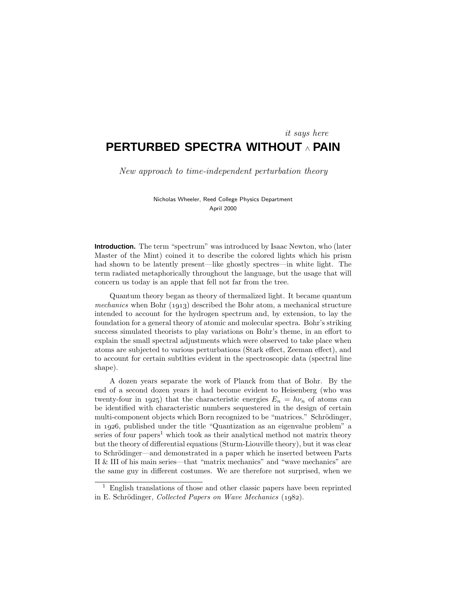# **PERTURBED SPECTRA WITHOUT** <sup>∧</sup> **PAIN** it says here

New approach to time-independent perturbation theory

Nicholas Wheeler, Reed College Physics Department April 2000

**Introduction.** The term "spectrum" was introduced by Isaac Newton, who (later Master of the Mint) coined it to describe the colored lights which his prism had shown to be latently present—like ghostly spectres—in white light. The term radiated metaphorically throughout the language, but the usage that will concern us today is an apple that fell not far from the tree.

Quantum theory began as theory of thermalized light. It became quantum mechanics when Bohr  $(1913)$  described the Bohr atom, a mechanical structure intended to account for the hydrogen spectrum and, by extension, to lay the foundation for a general theory of atomic and molecular spectra. Bohr's striking success simulated theorists to play variations on Bohr's theme, in an effort to explain the small spectral adjustments which were observed to take place when atoms are subjected to various perturbations (Starkeffect, Zeeman effect), and to account for certain subtlties evident in the spectroscopic data (spectral line shape).

A dozen years separate the work of Planck from that of Bohr. By the end of a second dozen years it had become evident to Heisenberg (who was twenty-four in 1925) that the characteristic energies  $E_n = h\nu_n$  of atoms can be identified with characteristic numbers sequestered in the design of certain multi-component objects which Born recognized to be "matrices." Schrödinger, in 1926, published under the title "Quantization as an eigenvalue problem" a series of four papers<sup>1</sup> which took as their analytical method not matrix theory but the theory of differential equations (Sturm-Liouville theory), but it was clear to Schrödinger—and demonstrated in a paper which he inserted between Parts II & III of his main series—that "matrix mechanics" and "wave mechanics" are the same guy in different costumes. We are therefore not surprised, when we

<sup>1</sup> English translations of those and other classic papers have been reprinted in E. Schrödinger, Collected Papers on Wave Mechanics  $(1982)$ .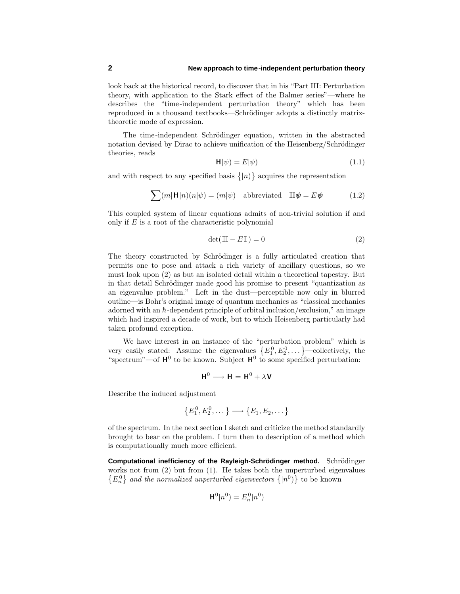### **2 New approach to time-independent perturbation theory**

look back at the historical record, to discover that in his "Part III: Perturbation theory, with application to the Starkeffect of the Balmer series"—where he describes the "time-independent perturbation theory" which has been reproduced in a thousand textbooks—Schrödinger adopts a distinctly matrixtheoretic mode of expression.

The time-independent Schrödinger equation, written in the abstracted notation devised by Dirac to achieve unification of the Heisenberg/Schrödinger theories, reads

$$
\mathbf{H}|\psi) = E|\psi\rangle\tag{1.1}
$$

and with respect to any specified basis  $\{|n\rangle\}$  acquires the representation

$$
\sum (m|\mathbf{H}|n)(n|\psi) = (m|\psi) \quad \text{abbreviated} \quad \mathbb{H}\mathbf{\psi} = E\mathbf{\psi} \tag{1.2}
$$

This coupled system of linear equations admits of non-trivial solution if and only if *E* is a root of the characteristic polynomial

$$
\det(\mathbb{H} - E\mathbb{I}) = 0 \tag{2}
$$

The theory constructed by Schrödinger is a fully articulated creation that permits one to pose and attacka rich variety of ancillary questions, so we must lookupon (2) as but an isolated detail within a theoretical tapestry. But in that detail Schrödinger made good his promise to present "quantization as an eigenvalue problem." Left in the dust—perceptible now only in blurred outline—is Bohr's original image of quantum mechanics as "classical mechanics adorned with an  $\hbar$ -dependent principle of orbital inclusion/exclusion," an image which had inspired a decade of work, but to which Heisenberg particularly had taken profound exception.

We have interest in an instance of the "perturbation problem" which is very easily stated: Assume the eigenvalues  $\{E_1^0, E_2^0, \dots\}$ —collectively, the "spectrum"—of  $H^0$  to be known. Subject  $H^0$  to some specified perturbation:

$$
\mathbf{H}^0 \longrightarrow \mathbf{H} = \mathbf{H}^0 + \lambda \mathbf{V}
$$

Describe the induced adjustment

$$
\{E_1^0, E_2^0, \dots\} \longrightarrow \{E_1, E_2, \dots\}
$$

of the spectrum. In the next section I sketch and criticize the method standardly brought to bear on the problem. I turn then to description of a method which is computationally much more efficient.

**Computational inefficiency of the Rayleigh-Schrödinger method.** Schrödinger works not from (2) but from (1). He takes both the unperturbed eigenvalues  ${E_n^0}$  and the normalized unperturbed eigenvectors  ${|n^0\rangle}$  to be known

$$
\mathbf{H}^0|n^0) = E_n^0|n^0)
$$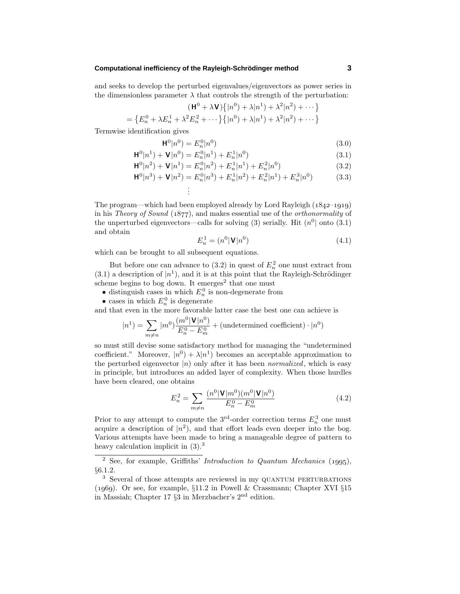#### **Computational inefficiency of the Rayleigh-Schrodinger method ¨ 3**

and seeks to develop the perturbed eigenvalues/eigenvectors as power series in the dimensionless parameter  $\lambda$  that controls the strength of the perturbation:

$$
(\mathbf{H}^{0} + \lambda \mathbf{V}) \{ |n^{0}\rangle + \lambda |n^{1}\rangle + \lambda^{2} |n^{2}\rangle + \cdots \}
$$
  

$$
\{ E_{n}^{0} + \lambda E_{n}^{1} + \lambda^{2} E_{n}^{2} + \cdots \} \{ |n^{0}\rangle + \lambda |n^{1}\rangle + \lambda^{2} |n^{2}\rangle + \cdots \}
$$

Termwise identification gives

 $=$ 

$$
\mathbf{H}^0 | n^0 = E_n^0 | n^0)
$$
\n(3.0)

$$
\mathbf{H}^{0}|n^{1}) + \mathbf{V}|n^{0}) = E_{n}^{0}|n^{1}) + E_{n}^{1}|n^{0})
$$
\n(3.1)

$$
\mathbf{H}^{0}|n^{2}) + \mathbf{V}|n^{1}) = E_{n}^{0}|n^{2}) + E_{n}^{1}|n^{1}) + E_{n}^{2}|n^{0})
$$
\n(3.2)

$$
\mathbf{H}^{0}|n^{3}) + \mathbf{V}|n^{2}) = E_{n}^{0}|n^{3}) + E_{n}^{1}|n^{2}) + E_{n}^{2}|n^{1}) + E_{n}^{3}|n^{0}) \tag{3.3}
$$

$$
\vdots
$$

The program—which had been employed already by Lord Rayleigh (1842–1919) in his *Theory of Sound* (1877), and makes essential use of the *orthonormality* of the unperturbed eigenvectors—calls for solving (3) serially. Hit 
$$
(n^0 |
$$
 onto (3.1) and obtain

$$
E_n^1 = (n^0 | \mathbf{V} | n^0)
$$
\n(4.1)

which can be brought to all subsequent equations.

But before one can advance to  $(3.2)$  in quest of  $E_n^2$  one must extract from  $(3.1)$  a description of  $|n^1\rangle$ , and it is at this point that the Rayleigh-Schrödinger scheme begins to bog down. It emerges<sup>2</sup> that one must

- distinguish cases in which  $E_n^0$  is non-degenerate from
- cases in which  $E_n^0$  is degenerate

and that even in the more favorable latter case the best one can achieve is

$$
|n^{1}) = \sum_{m \neq n} |m^{0}\rangle \frac{(m^{0}|\mathbf{V}|n^{0})}{E_{n}^{0} - E_{m}^{0}} + (\text{undetermined coefficient}) \cdot |n^{0}\rangle
$$

so must still devise some satisfactory method for managing the "undetermined coefficient." Moreover,  $|n^0\rangle + \lambda |n^1\rangle$  becomes an acceptable approximation to the perturbed eigenvector  $|n\rangle$  only after it has been *normalized*, which is easy in principle, but introduces an added layer of complexity. When those hurdles have been cleared, one obtains

$$
E_n^2 = \sum_{m \neq n} \frac{(n^0 |\mathbf{V}| m^0)(m^0 |\mathbf{V}| n^0)}{E_n^0 - E_m^0}
$$
(4.2)

Prior to any attempt to compute the  $3^{\text{rd}}$ -order correction terms  $E_n^3$  one must acquire a description of  $|n^2$ ), and that effort leads even deeper into the bog. Various attempts have been made to bring a manageable degree of pattern to heavy calculation implicit in  $(3)$ .<sup>3</sup>

<sup>&</sup>lt;sup>2</sup> See, for example, Griffiths' Introduction to Quantum Mechanics (1995), §6.1.2.

<sup>&</sup>lt;sup>3</sup> Several of those attempts are reviewed in my QUANTUM PERTURBATIONS (1969). Or see, for example,  $\S11.2$  in Powell & Crassmann; Chapter XVI  $\S15$ in Massiah; Chapter 17 §3 in Merzbacher's 2nd edition.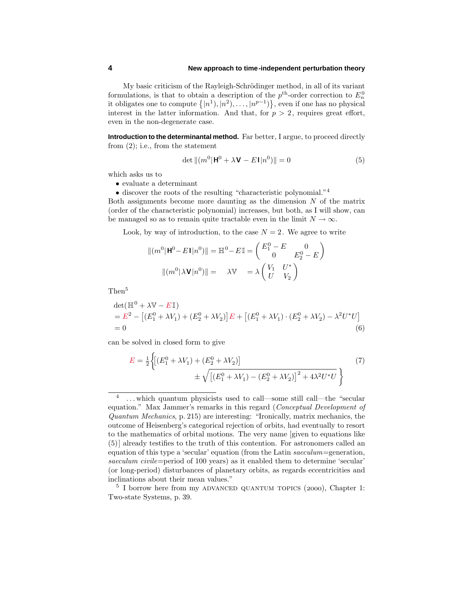#### **4 New approach to time-independent perturbation theory**

My basic criticism of the Rayleigh-Schrödinger method, in all of its variant formulations, is that to obtain a description of the  $p<sup>th</sup>$ -order correction to  $E<sub>n</sub><sup>0</sup>$ it obligates one to compute  $\{|n^1\rangle, |n^2\rangle, \ldots, |n^{p-1}\rangle\}$ , even if one has no physical interest in the latter information. And that, for  $p > 2$ , requires great effort, even in the non-degenerate case.

**Introduction to the determinantal method.** Far better, I argue, to proceed directly from (2); i.e., from the statement

$$
\det \left\| \left( m^0 \right| \mathbf{H}^0 + \lambda \mathbf{V} - E \mathbf{I} |n^0 \right) \right\| = 0 \tag{5}
$$

which asks us to

• evaluate a determinant

 $\bullet$  discover the roots of the resulting "characteristic polynomial."  $^4$ 

Both assignments become more daunting as the dimension *N* of the matrix (order of the characteristic polynomial) increases, but both, as I will show, can be managed so as to remain quite tractable even in the limit  $N \to \infty$ .

Look, by way of introduction, to the case  $N = 2$ . We agree to write

$$
\|(m^0|\mathbf{H}^0 - E\mathbf{I}|n^0)\| = \mathbb{H}^0 - E\mathbb{I} = \begin{pmatrix} E_1^0 - E & 0\\ 0 & E_2^0 - E \end{pmatrix}
$$

$$
\|(m^0|\lambda \mathbf{V}|n^0)\| = \lambda \mathbb{V} = \lambda \begin{pmatrix} V_1 & U^*\\ U & V_2 \end{pmatrix}
$$

Then<sup>5</sup>

$$
\det(\mathbb{H}^0 + \lambda \mathbb{V} - E\mathbb{I})
$$
  
=  $E^2 - [(E_1^0 + \lambda V_1) + (E_2^0 + \lambda V_2)]E + [(E_1^0 + \lambda V_1) \cdot (E_2^0 + \lambda V_2) - \lambda^2 U^* U]$   
= 0 (6)

can be solved in closed form to give

$$
E = \frac{1}{2} \left\{ \left[ (E_1^0 + \lambda V_1) + (E_2^0 + \lambda V_2) \right] + \sqrt{\left[ (E_1^0 + \lambda V_1) - (E_2^0 + \lambda V_2) \right]^2 + 4\lambda^2 U^* U} \right\}
$$
(7)

<sup>&</sup>lt;sup>4</sup> ... which quantum physicists used to call—some still call—the "secular equation." Max Jammer's remarks in this regard (Conceptual Development of Quantum Mechanics, p. 215) are interesting: "Ironically, matrix mechanics, the outcome of Heisenberg's categorical rejection of orbits, had eventually to resort to the mathematics of orbital motions. The very name [given to equations like (5)] already testifies to the truth of this contention. For astronomers called an equation of this type a 'secular' equation (from the Latin saeculum=generation, saeculum civile=period of 100 years) as it enabled them to determine 'secular' (or long-period) disturbances of planetary orbits, as regards eccentricities and inclinations about their mean values."

 $5$  I borrow here from my ADVANCED QUANTUM TOPICS (2000), Chapter 1: Two-state Systems, p. 39.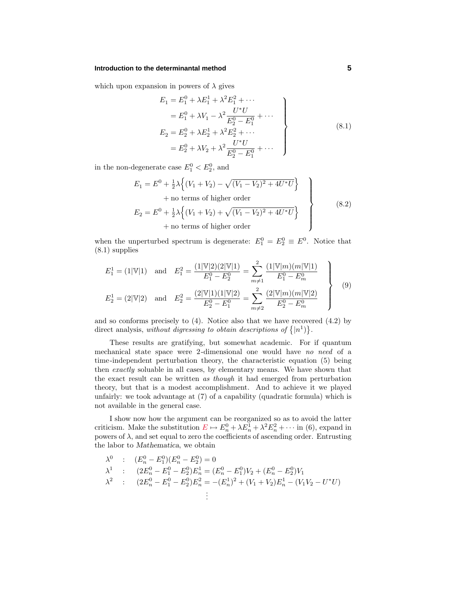#### **Introduction to the determinantal method 5**

which upon expansion in powers of  $\lambda$  gives

$$
E_1 = E_1^0 + \lambda E_1^1 + \lambda^2 E_1^2 + \cdots
$$
  
\n
$$
= E_1^0 + \lambda V_1 - \lambda^2 \frac{U^* U}{E_2^0 - E_1^0} + \cdots
$$
  
\n
$$
E_2 = E_2^0 + \lambda E_2^1 + \lambda^2 E_2^2 + \cdots
$$
  
\n
$$
= E_2^0 + \lambda V_2 + \lambda^2 \frac{U^* U}{E_2^0 - E_1^0} + \cdots
$$
\n(8.1)

in the non-degenerate case  $E_1^0 < E_2^0$ , and

$$
E_1 = E^0 + \frac{1}{2}\lambda \left\{ (V_1 + V_2) - \sqrt{(V_1 - V_2)^2 + 4U^*U} \right\} + \text{no terms of higher order}
$$
  
\n
$$
E_2 = E^0 + \frac{1}{2}\lambda \left\{ (V_1 + V_2) + \sqrt{(V_1 - V_2)^2 + 4U^*U} \right\} + \text{no terms of higher order}
$$
\n(8.2)

when the unperturbed spectrum is degenerate:  $E_1^0 = E_2^0 \equiv E^0$ . Notice that (8.1) supplies

$$
E_1^1 = (1|\mathbb{V}|1) \text{ and } E_1^2 = \frac{(1|\mathbb{V}|2)(2|\mathbb{V}|1)}{E_1^0 - E_2^0} = \sum_{m \neq 1}^2 \frac{(1|\mathbb{V}|m)(m|\mathbb{V}|1)}{E_1^0 - E_m^0}
$$
  
\n
$$
E_2^1 = (2|\mathbb{V}|2) \text{ and } E_2^2 = \frac{(2|\mathbb{V}|1)(1|\mathbb{V}|2)}{E_2^0 - E_1^0} = \sum_{m \neq 2}^2 \frac{(2|\mathbb{V}|m)(m|\mathbb{V}|2)}{E_2^0 - E_m^0}
$$
 (9)

and so conforms precisely to (4). Notice also that we have recovered (4.2) by direct analysis, without digressing to obtain descriptions of  $\{|n^1\rangle\}$ .

These results are gratifying, but somewhat academic. For if quantum mechanical state space were 2-dimensional one would have no need of a time-independent perturbation theory, the characteristic equation (5) being then exactly soluable in all cases, by elementary means. We have shown that the exact result can be written as though it had emerged from perturbation theory, but that is a modest accomplishment. And to achieve it we played unfairly: we took advantage at  $(7)$  of a capability (quadratic formula) which is not available in the general case.

I show now how the argument can be reorganized so as to avoid the latter criticism. Make the substitution  $E \mapsto E_n^0 + \lambda E_n^1 + \lambda^2 E_n^2 + \cdots$  in (6), expand in powers of  $\lambda$ , and set equal to zero the coefficients of ascending order. Entrusting the labor to *Mathematica*, we obtain

$$
\lambda^0 : (E_n^0 - E_1^0)(E_n^0 - E_2^0) = 0
$$
\n
$$
\lambda^1 : (2E_n^0 - E_1^0 - E_2^0)E_n^1 = (E_n^0 - E_1^0)V_2 + (E_n^0 - E_2^0)V_1
$$
\n
$$
\lambda^2 : (2E_n^0 - E_1^0 - E_2^0)E_n^2 = -(E_n^1)^2 + (V_1 + V_2)E_n^1 - (V_1V_2 - U^*U)
$$
\n
$$
\vdots
$$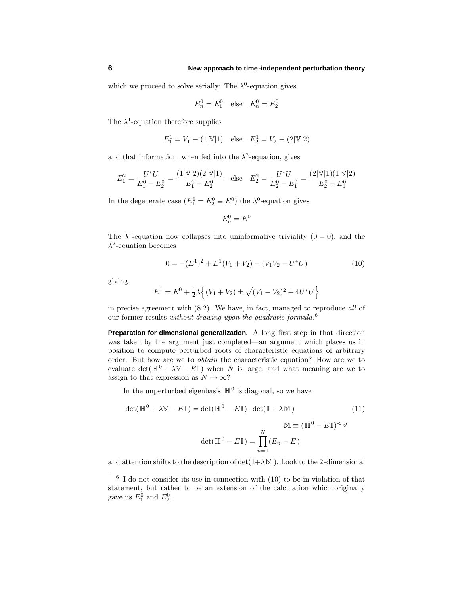which we proceed to solve serially: The  $\lambda^0$ -equation gives

$$
E_n^0 = E_1^0
$$
 else  $E_n^0 = E_2^0$ 

The  $\lambda^1$ -equation therefore supplies

$$
E_1^1 = V_1 \equiv (1|\mathbb{V}|1)
$$
 else  $E_2^1 = V_2 \equiv (2|\mathbb{V}|2)$ 

and that information, when fed into the  $\lambda^2$ -equation, gives

$$
E_1^2 = \frac{U^*U}{E_1^0 - E_2^0} = \frac{(1|\mathbb{V}|2)(2|\mathbb{V}|1)}{E_1^0 - E_2^0} \quad \text{else} \quad E_2^2 = \frac{U^*U}{E_2^0 - E_1^0} = \frac{(2|\mathbb{V}|1)(1|\mathbb{V}|2)}{E_2^0 - E_1^0}
$$

In the degenerate case  $(E_1^0 = E_2^0 \equiv E^0)$  the  $\lambda^0$ -equation gives

$$
E_n^0 = E^0
$$

The  $\lambda^1$ -equation now collapses into uninformative triviality  $(0 = 0)$ , and the *λ*<sup>2</sup>-equation becomes

$$
0 = -(E1)2 + E1(V1 + V2) - (V1V2 - U*U)
$$
 (10)

giving

$$
E^{1} = E^{0} + \frac{1}{2}\lambda \left\{ (V_{1} + V_{2}) \pm \sqrt{(V_{1} - V_{2})^{2} + 4U^{*}U} \right\}
$$

in precise agreement with (8.2). We have, in fact, managed to reproduce all of our former results *without drawing upon the quadratic formula*.<sup>6</sup>

**Preparation for dimensional generalization.** A long first step in that direction was taken by the argument just completed—an argument which places us in position to compute perturbed roots of characteristic equations of arbitrary order. But how are we to obtain the characteristic equation? How are we to evaluate  $\det(\mathbb{H}^0 + \lambda \mathbb{V} - E\mathbb{I})$  when *N* is large, and what meaning are we to assign to that expression as  $N \to \infty$ ?

In the unperturbed eigenbasis  $\mathbb{H}^0$  is diagonal, so we have

$$
\det(\mathbb{H}^0 + \lambda \mathbb{V} - E\mathbb{I}) = \det(\mathbb{H}^0 - E\mathbb{I}) \cdot \det(\mathbb{I} + \lambda \mathbb{M})
$$
\n
$$
\mathbb{M} \equiv (\mathbb{H}^0 - E\mathbb{I})^{-1} \mathbb{V}
$$
\n
$$
\det(\mathbb{H}^0 - E\mathbb{I}) = \prod_{n=1}^N (E_n - E)
$$
\n(11)

and attention shifts to the description of  $\det(\mathbb{I} + \lambda \mathbb{M})$ . Look to the 2-dimensional

 $\frac{6}{6}$  I do not consider its use in connection with (10) to be in violation of that statement, but rather to be an extension of the calculation which originally gave us  $E_1^0$  and  $E_2^0$ .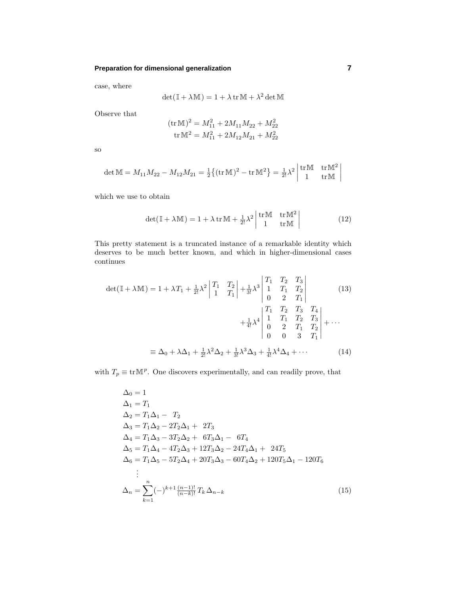### **Preparation for dimensional generalization 7**

case, where

$$
\det(\mathbb{I} + \lambda \mathbb{M}) = 1 + \lambda \operatorname{tr} \mathbb{M} + \lambda^2 \det \mathbb{M}
$$

Observe that

$$
(\text{tr}\,\mathbb{M})^2 = M_{11}^2 + 2M_{11}M_{22} + M_{22}^2
$$

$$
\text{tr}\,\mathbb{M}^2 = M_{11}^2 + 2M_{12}M_{21} + M_{22}^2
$$

so

$$
\det \mathbb{M} = M_{11} M_{22} - M_{12} M_{21} = \frac{1}{2} \{ (\text{tr} \mathbb{M})^2 - \text{tr} \mathbb{M}^2 \} = \frac{1}{2!} \lambda^2 \begin{vmatrix} \text{tr} \mathbb{M} & \text{tr} \mathbb{M}^2 \\ 1 & \text{tr} \mathbb{M} \end{vmatrix}
$$

which we use to obtain

$$
\det(\mathbb{I} + \lambda \mathbb{M}) = 1 + \lambda \operatorname{tr} \mathbb{M} + \frac{1}{2!} \lambda^2 \begin{vmatrix} \operatorname{tr} \mathbb{M} & \operatorname{tr} \mathbb{M}^2 \\ 1 & \operatorname{tr} \mathbb{M} \end{vmatrix}
$$
 (12)

This pretty statement is a truncated instance of a remarkable identity which deserves to be much better known, and which in higher-dimensional cases continues

$$
\det(\mathbb{I} + \lambda \mathbb{M}) = 1 + \lambda T_1 + \frac{1}{2!} \lambda^2 \begin{vmatrix} T_1 & T_2 \\ 1 & T_1 \end{vmatrix} + \frac{1}{3!} \lambda^3 \begin{vmatrix} T_1 & T_2 & T_3 \\ 1 & T_1 & T_2 \\ 0 & 2 & T_1 \end{vmatrix}
$$
(13)  

$$
+ \frac{1}{4!} \lambda^4 \begin{vmatrix} T_1 & T_2 & T_3 & T_4 \\ 1 & T_1 & T_2 & T_3 \\ 0 & 2 & T_1 & T_2 \\ 0 & 0 & 3 & T_1 \end{vmatrix} + \cdots
$$
  

$$
\equiv \Delta_0 + \lambda \Delta_1 + \frac{1}{2!} \lambda^2 \Delta_2 + \frac{1}{3!} \lambda^3 \Delta_3 + \frac{1}{4!} \lambda^4 \Delta_4 + \cdots
$$
(14)

with  $T_p \equiv \text{tr} \mathbb{M}^p$ . One discovers experimentally, and can readily prove, that

$$
\Delta_0 = 1
$$
\n
$$
\Delta_1 = T_1
$$
\n
$$
\Delta_2 = T_1 \Delta_1 - T_2
$$
\n
$$
\Delta_3 = T_1 \Delta_2 - 2T_2 \Delta_1 + 2T_3
$$
\n
$$
\Delta_4 = T_1 \Delta_3 - 3T_2 \Delta_2 + 6T_3 \Delta_1 - 6T_4
$$
\n
$$
\Delta_5 = T_1 \Delta_4 - 4T_2 \Delta_3 + 12T_3 \Delta_2 - 24T_4 \Delta_1 + 24T_5
$$
\n
$$
\Delta_6 = T_1 \Delta_5 - 5T_2 \Delta_4 + 20T_3 \Delta_3 - 60T_4 \Delta_2 + 120T_5 \Delta_1 - 120T_6
$$
\n
$$
\vdots
$$
\n
$$
\Delta_n = \sum_{k=1}^n (-)^{k+1} \frac{(n-1)!}{(n-k)!} T_k \Delta_{n-k}
$$
\n(15)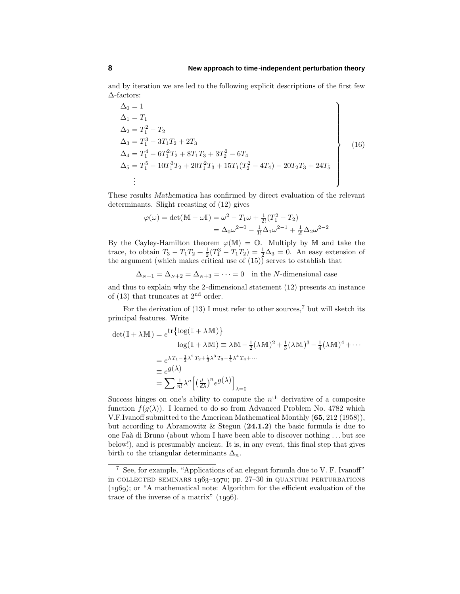and by iteration we are led to the following explicit descriptions of the first few ∆-factors:

$$
\Delta_0 = 1
$$
\n
$$
\Delta_1 = T_1
$$
\n
$$
\Delta_2 = T_1^2 - T_2
$$
\n
$$
\Delta_3 = T_1^3 - 3T_1T_2 + 2T_3
$$
\n
$$
\Delta_4 = T_1^4 - 6T_1^2T_2 + 8T_1T_3 + 3T_2^2 - 6T_4
$$
\n
$$
\Delta_5 = T_1^5 - 10T_1^3T_2 + 20T_1^2T_3 + 15T_1(T_2^2 - 4T_4) - 20T_2T_3 + 24T_5
$$
\n
$$
\vdots
$$
\n(16)

These results *Mathematica* has confirmed by direct evaluation of the relevant determinants. Slight recasting of (12) gives

$$
\varphi(\omega) = \det(\mathbb{M} - \omega \mathbb{I}) = \omega^2 - T_1 \omega + \frac{1}{2!} (T_1^2 - T_2)
$$
  
=  $\Delta_0 \omega^{2-0} - \frac{1}{1!} \Delta_1 \omega^{2-1} + \frac{1}{2!} \Delta_2 \omega^{2-2}$ 

By the Cayley-Hamilton theorem  $\varphi(M) = \mathbb{O}$ . Multiply by M and take the trace, to obtain  $T_3 - T_1T_2 + \frac{1}{2}(T_1^3 - T_1T_2) = \frac{1}{2}\Delta_3 = 0$ . An easy extension of the argument (which makes critical use of (15)) serves to establish that

$$
\Delta_{N+1} = \Delta_{N+2} = \Delta_{N+3} = \dots = 0
$$
 in the *N*-dimensional case

and thus to explain why the 2-dimensional statement (12) presents an instance of  $(13)$  that truncates at  $2<sup>nd</sup>$  order.

For the derivation of  $(13)$  I must refer to other sources,<sup>7</sup> but will sketch its principal features. Write

$$
\det(\mathbb{I} + \lambda \mathbb{M}) = e^{\text{tr}\left\{\log(\mathbb{I} + \lambda \mathbb{M})\right\}}
$$
  
\n
$$
\log(\mathbb{I} + \lambda \mathbb{M}) \equiv \lambda \mathbb{M} - \frac{1}{2}(\lambda \mathbb{M})^2 + \frac{1}{3}(\lambda \mathbb{M})^3 - \frac{1}{4}(\lambda \mathbb{M})^4 + \cdots
$$
  
\n
$$
= e^{\lambda T_1 - \frac{1}{2}\lambda^2 T_2 + \frac{1}{3}\lambda^3 T_3 - \frac{1}{4}\lambda^4 T_4 + \cdots}
$$
  
\n
$$
\equiv e^{g(\lambda)}
$$
  
\n
$$
= \sum \frac{1}{n!} \lambda^n \left[ \left(\frac{d}{dx}\right)^n e^{g(\lambda)} \right]_{\lambda=0}
$$

Success hinges on one's ability to compute the  $n<sup>th</sup>$  derivative of a composite function  $f(g(\lambda))$ . I learned to do so from Advanced Problem No. 4782 which V.F.Ivanoff submitted to the American Mathematical Monthly (**65**, 212 (1958)), but according to Abramowitz & Stegun (**24.1.2**) the basic formula is due to one Fa`a di Bruno (about whom I have been able to discover nothing *...* but see below!), and is presumably ancient. It is, in any event, this final step that gives birth to the triangular determinants  $\Delta_n$ .

<sup>7</sup> See, for example, "Applications of an elegant formula due to V. F. Ivanoff" in COLLECTED SEMINARS  $1963-1970$ ; pp.  $27-30$  in QUANTUM PERTURBATIONS  $(1969)$ ; or "A mathematical note: Algorithm for the efficient evaluation of the trace of the inverse of a matrix"  $(1996)$ .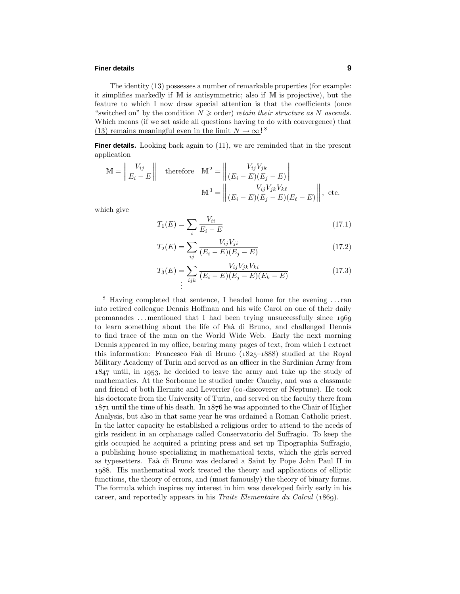### **Finer details 9**

The identity (13) possesses a number of remarkable properties (for example: it simplifies markedly if M is antisymmetric; also if M is projective), but the feature to which I now draw special attention is that the coefficients (once "switched on" by the condition  $N \geqslant$  order) retain their structure as N ascends. Which means (if we set aside all questions having to do with convergence) that (13) remains meaningful even in the limit  $N \to \infty$ !<sup>8</sup>

**Finer details.** Looking back again to (11), we are reminded that in the present application

$$
\mathbb{M} = \left\| \frac{V_{ij}}{E_i - E} \right\| \quad \text{therefore} \quad \mathbb{M}^2 = \left\| \frac{V_{ij} V_{jk}}{(E_i - E)(E_j - E)} \right\|
$$

$$
\mathbb{M}^3 = \left\| \frac{V_{ij} V_{jk} V_{k\ell}}{(E_i - E)(E_j - E)(E_\ell - E)} \right\|, \text{ etc.}
$$

which give

$$
T_1(E) = \sum_{i} \frac{V_{ii}}{E_i - E}
$$
 (17.1)

$$
T_2(E) = \sum_{ij} \frac{V_{ij} V_{ji}}{(E_i - E)(E_j - E)}\tag{17.2}
$$

$$
T_3(E) = \sum_{ijk} \frac{V_{ij} V_{jk} V_{ki}}{(E_i - E)(E_j - E)(E_k - E)}
$$
(17.3)  
...

<sup>8</sup> Having completed that sentence, I headed home for the evening *...*ran into retired colleague Dennis Hoffman and his wife Carol on one of their daily promanades *...* mentioned that I had been trying unsuccessfully since to learn something about the life of Faà di Bruno, and challenged Dennis to find trace of the man on the World Wide Web. Early the next morning Dennis appeared in my office, bearing many pages of text, from which I extract this information: Francesco Faà di Bruno ( $1825-1888$ ) studied at the Royal Military Academy of Turin and served as an officer in the Sardinian Army from  $1847$  until, in 1953, he decided to leave the army and take up the study of mathematics. At the Sorbonne he studied under Cauchy, and was a classmate and friend of both Hermite and Leverrier (co-discoverer of Neptune). He took his doctorate from the University of Turin, and served on the faculty there from  $1871$  until the time of his death. In  $1876$  he was appointed to the Chair of Higher Analysis, but also in that same year he was ordained a Roman Catholic priest. In the latter capacity he established a religious order to attend to the needs of girls resident in an orphanage called Conservatorio del Suffragio. To keep the girls occupied he acquired a printing press and set up Tipographia Suffragio, a publishing house specializing in mathematical texts, which the girls served as typesetters. Fa`a di Bruno was declared a Saint by Pope John Paul II in 1988. His mathematical work treated the theory and applications of elliptic functions, the theory of errors, and (most famously) the theory of binary forms. The formula which inspires my interest in him was developed fairly early in his career, and reportedly appears in his *Traite Elementaire du Calcul*  $(1869)$ .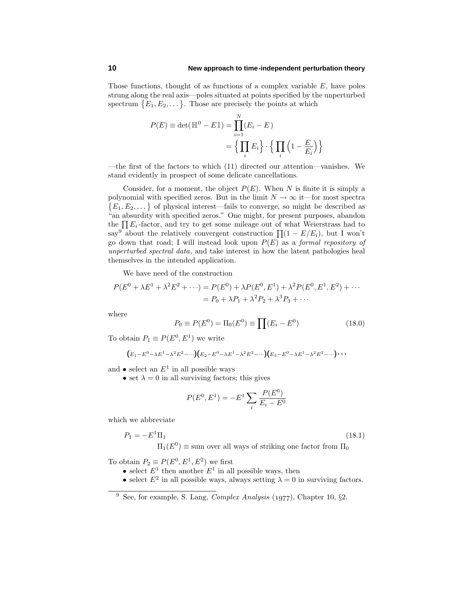Those functions, thought of as functions of a complex variable *E*, have poles strung along the real axis—poles situated at points specified by the unperturbed spectrum  $\{E_1, E_2, \dots\}$ . Those are precisely the points at which

$$
P(E) \equiv \det(\mathbb{H}^0 - E\mathbb{I}) = \prod_{i=1}^{N} (E_i - E)
$$

$$
= \left\{ \prod_i E_i \right\} \cdot \left\{ \prod_i \left( 1 - \frac{E}{E_i} \right) \right\}
$$

—the first of the factors to which (11) directed our attention—vanishes. We stand evidently in prospect of some delicate cancellations.

Consider, for a moment, the object  $P(E)$ . When *N* is finite it is simply a polynomial with specified zeros. But in the limit  $N \to \infty$  it—for most spectra  ${E_1, E_2,...}$  of physical interest—fails to converge, so might be described as "an absurdity with specified zeros." One might, for present purposes, abandon the  $\prod E_i$ -factor, and try to get some mileage out of what Weierstrass had to say<sup>9</sup> about the relatively convergent construction  $\prod (1 - E/E_i)$ , but I won't go down that road; I will instead look upon  $P(E)$  as a *formal repository of* unperturbed spectral data, and take interest in how the latent pathologies heal themselves in the intended application.

We have need of the construction

$$
P(E^{0} + \lambda E^{1} + \lambda^{2} E^{2} + \cdots) = P(E^{0}) + \lambda P(E^{0}, E^{1}) + \lambda^{2} P(E^{0}, E^{1}, E^{2}) + \cdots
$$
  
=  $P_{0} + \lambda P_{1} + \lambda^{2} P_{2} + \lambda^{3} P_{3} + \cdots$ 

where

$$
P_0 \equiv P(E^0) = \Pi_0(E^0) \equiv \prod (E_i - E^0)
$$
\n(18.0)

To obtain  $P_1 \equiv P(E^0, E^1)$  we write

$$
(E_1 - E^0 - \lambda E^1 - \lambda^2 E^2 - \cdots)(E_2 - E^0 - \lambda E^1 - \lambda^2 E^2 - \cdots)(E_3 - E^0 - \lambda E^1 - \lambda^2 E^2 - \cdots) \cdots
$$

and  $\bullet$  select an  $E^1$  in all possible ways

• set  $\lambda = 0$  in all surviving factors; this gives

$$
P(E^{0}, E^{1}) = -E^{1} \sum_{i} \frac{P(E^{0})}{E_{i} - E^{0}}
$$

which we abbreviate

$$
P_1 = -E^1 \Pi_1 \tag{18.1}
$$

 $\Pi_1(E^0) \equiv \text{sum over all ways of striking one factor from } \Pi_0$ 

To obtain  $P_2 \equiv P(E^0, E^1, E^2)$  we first

- select  $E^1$  then another  $E^1$  in all possible ways, then
- select  $E^2$  in all possible ways, always setting  $\lambda = 0$  in surviving factors.

 $\frac{9}{9}$  See, for example, S. Lang, *Complex Analysis* (1977), Chapter 10,  $\S$ 2.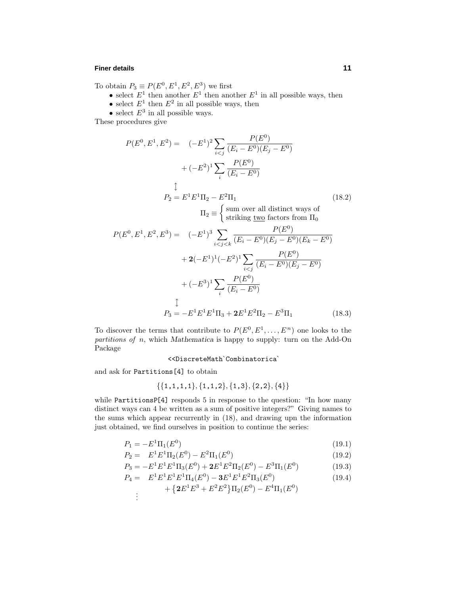#### **Finer details 11**

To obtain  $P_3 \equiv P(E^0, E^1, E^2, E^3)$  we first

- select  $E^1$  then another  $E^1$  then another  $E^1$  in all possible ways, then
- select  $E^1$  then  $E^2$  in all possible ways, then

• select  $E^3$  in all possible ways.

These procedures give

$$
P(E^{0}, E^{1}, E^{2}) = (-E^{1})^{2} \sum_{i < j} \frac{P(E^{0})}{(E_{i} - E^{0})(E_{j} - E^{0})}
$$
  
+  $(-E^{2})^{1} \sum_{i} \frac{P(E^{0})}{(E_{i} - E^{0})}$   
\n
$$
\downarrow
$$
  
\n
$$
P_{2} = E^{1} E^{1} \Pi_{2} - E^{2} \Pi_{1}
$$
  
\n
$$
\Pi_{2} \equiv \begin{cases} \text{sum over all distinct ways ofstriking two factors from  $\Pi_{0}$   
\n
$$
P(E^{0}, E^{1}, E^{2}, E^{3}) = (-E^{1})^{3} \sum_{i < j < k} \frac{P(E^{0})}{(E_{i} - E^{0})(E_{j} - E^{0})(E_{k} - E^{0})}
$$
  
\n
$$
+ 2(-E^{1})^{1}(-E^{2})^{1} \sum_{i < j} \frac{P(E^{0})}{(E_{i} - E^{0})(E_{j} - E^{0})}
$$
  
\n
$$
+ (-E^{3})^{1} \sum_{i} \frac{P(E^{0})}{(E_{i} - E^{0})}
$$
  
\n
$$
\downarrow
$$
  
\n
$$
P_{3} = -E^{1} E^{1} E^{1} \Pi_{3} + 2E^{1} E^{2} \Pi_{2} - E^{3} \Pi_{1}
$$
 (18.3)
$$

To discover the terms that contribute to  $P(E^0, E^1, \ldots, E^n)$  one looks to the partitions of *n*, which *Mathematica* is happy to supply: turn on the Add-On Package

### <<DiscreteMath`Combinatorica`

and ask for Partitions[4] to obtain

$$
\{\{1,1,1,1\},\{1,1,2\},\{1,3\},\{2,2\},\{4\}\}
$$

while PartitionsP[4] responds 5 in response to the question: "In how many distinct ways can 4 be written as a sum of positive integers?" Giving names to the sums which appear recurrently in (18), and drawing upn the information just obtained, we find ourselves in position to continue the series:

$$
P_1 = -E^1 \Pi_1(E^0) \tag{19.1}
$$

$$
P_2 = E^1 E^1 \Pi_2(E^0) - E^2 \Pi_1(E^0)
$$
\n(19.2)

$$
P_3 = -E^1 E^1 E^1 \Pi_3(E^0) + 2E^1 E^2 \Pi_2(E^0) - E^3 \Pi_1(E^0)
$$
\n(19.3)

$$
P_4 = E^1 E^1 E^1 E^1 \Pi_4(E^0) - 3E^1 E^1 E^2 \Pi_3(E^0)
$$
\n(19.4)

$$
+\left\{2E^1E^3+E^2E^2\right\}\Pi_2(E^0)-E^4\Pi_1(E^0)\\ \vdots
$$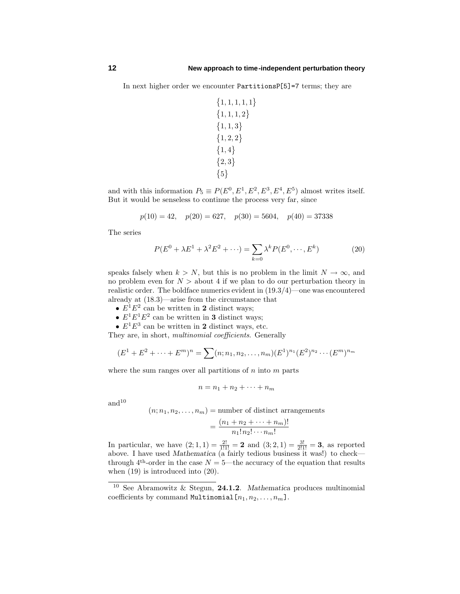In next higher order we encounter PartitionsP[5]=7 terms; they are

 $\{1, 1, 1, 1, 1\}$  $\{1, 1, 1, 2\}$  $\{1, 1, 3\}$  $\{1, 2, 2\}$  $\{1,4\}$  $\{2,3\}$  $\{5\}$ 

and with this information  $P_5 \equiv P(E^0, E^1, E^2, E^3, E^4, E^5)$  almost writes itself. But it would be senseless to continue the process very far, since

$$
p(10) = 42
$$
,  $p(20) = 627$ ,  $p(30) = 5604$ ,  $p(40) = 37338$ 

The series

$$
P(E^{0} + \lambda E^{1} + \lambda^{2} E^{2} + \cdots) = \sum_{k=0} \lambda^{k} P(E^{0}, \cdots, E^{k})
$$
 (20)

speaks falsely when  $k > N$ , but this is no problem in the limit  $N \to \infty$ , and no problem even for  $N >$  about 4 if we plan to do our perturbation theory in realistic order. The boldface numerics evident in (19.3/4)—one was encountered already at (18.3)—arise from the circumstance that

- $E^1E^2$  can be written in **2** distinct ways;
- $E^1E^1E^2$  can be written in **3** distinct ways;
- $E^1E^3$  can be written in **2** distinct ways, etc.

They are, in short, *multinomial coefficients*. Generally

$$
(E1 + E2 + \dots + Em)n = \sum (n; n1, n2, \dots, nm)(E1)n1(E2)n2 \dots (Em)nm
$$

where the sum ranges over all partitions of *n* into *m* parts

$$
n = n_1 + n_2 + \cdots + n_m
$$

and $10$ 

$$
(n; n_1, n_2, \dots, n_m) = \text{number of distinct arrangements}
$$

$$
= \frac{(n_1 + n_2 + \dots + n_m)!}{n_1! n_2! \dots n_m!}
$$

In particular, we have  $(2, 1, 1) = \frac{2!}{1!1!} = 2$  and  $(3, 2, 1) = \frac{3!}{2!1!} = 3$ , as reported above. I have used *Mathematica* (a fairly tedious business it was!) to check through  $4<sup>th</sup>$ -order in the case  $N = 5$ —the accuracy of the equation that results when (19) is introduced into (20).

<sup>10</sup> See Abramowitz & Stegun, **24.1.2**. *Mathematica* produces multinomial coefficients by command Multinomial $[n_1, n_2, \ldots, n_m]$ .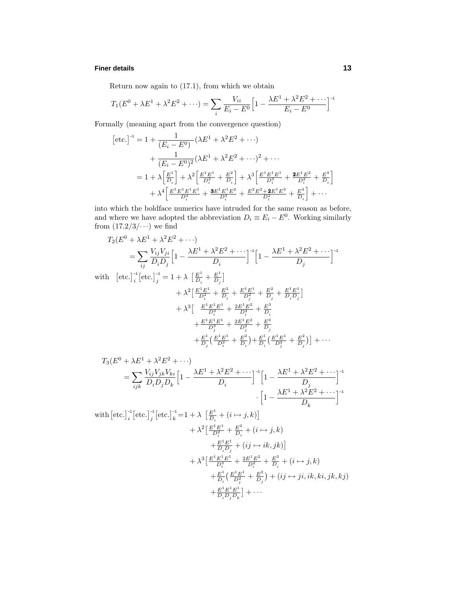### **Finer details 13**

Return now again to (17.1), from which we obtain

$$
T_1(E^0 + \lambda E^1 + \lambda^2 E^2 + \cdots) = \sum_i \frac{V_{ii}}{E_i - E^0} \Big[ 1 - \frac{\lambda E^1 + \lambda^2 E^2 + \cdots}{E_i - E^0} \Big]^{-1}
$$

Formally (meaning apart from the convergence question)

$$
[\text{etc.}]^{-1} = 1 + \frac{1}{(E_i - E^0)} (\lambda E^1 + \lambda^2 E^2 + \cdots)
$$
  
+ 
$$
\frac{1}{(E_i - E^0)^2} (\lambda E^1 + \lambda^2 E^2 + \cdots)^2 + \cdots
$$
  
= 
$$
1 + \lambda \left[ \frac{E^1}{D_i} \right] + \lambda^2 \left[ \frac{E^1 E^1}{D_i^2} + \frac{E^2}{D_i} \right] + \lambda^3 \left[ \frac{E^1 E^1 E^1}{D_i^3} + \frac{2 E^1 E^2}{D_i^2} + \frac{E^3}{D_i} \right]
$$
  
+ 
$$
\lambda^4 \left[ \frac{E^1 E^1 E^1 E^1}{D_i^4} + \frac{3 E^1 E^1 E^2}{D_i^3} + \frac{E^2 E^2 + 2 E^1 E^3}{D_i^2} + \frac{E^4}{D_i} \right] + \cdots
$$

into which the boldface numerics have intruded for the same reason as before, and where we have adopted the abbreviation  $D_i \equiv E_i - E^0$ . Working similarly from  $(17.2/3/\cdots)$  we find

$$
T_2(E^0 + \lambda E^1 + \lambda^2 E^2 + \cdots)
$$
  
= 
$$
\sum_{ij} \frac{V_{ij} V_{ji}}{D_i D_j} \Big[ 1 - \frac{\lambda E^1 + \lambda^2 E^2 + \cdots}{D_i} \Big]^{-1} \Big[ 1 - \frac{\lambda E^1 + \lambda^2 E^2 + \cdots}{D_j} \Big]^{-1}
$$

with  $\left[\text{etc.}\right]_i^{-1} \left[\text{etc.}\right]_j^{-1} = 1 + \lambda \left[\frac{E^1}{D_i} + \frac{E^1}{D_j}\right]$ 

$$
+ \lambda^2 \left[ \frac{E^1 E^1}{D_i^2} + \frac{E^2}{D_i} + \frac{E^1 E^1}{D_j^2} + \frac{E^2}{D_j} + \frac{E^1 E^1}{D_i D_j} \right] + \lambda^3 \left[ \frac{E^1 E^1 E^1}{D_i^3} + \frac{2E^1 E^2}{D_i^2} + \frac{E^3}{D_i} + \frac{E^1 E^1 E^1}{D_j^3} + \frac{2E^1 E^2}{D_j^2} + \frac{E^3}{D_j} + \frac{E^1}{D_i^2} \left( \frac{E^1 E^1}{D_i^2} + \frac{E^2}{D_i} \right) + \frac{E^1}{D_i} \left( \frac{E^1 E^1}{D_j^2} + \frac{E^2}{D_i} \right) + \frac{E^1}{D_i} \left( \frac{E^1 E^1}{D_j^2} + \frac{E^2}{D_j} \right) \right] + \cdots
$$

$$
T_3(E^0 + \lambda E^1 + \lambda^2 E^2 + \cdots)
$$
  
=  $\sum_{ijk} \frac{V_{ij} V_{jk} V_{ki}}{D_i D_j D_k} \left[ 1 - \frac{\lambda E^1 + \lambda^2 E^2 + \cdots}{D_i} \right]^{-1} \left[ 1 - \frac{\lambda E^1 + \lambda^2 E^2 + \cdots}{D_j} \right]^{-1}$   

$$
\cdot \left[ 1 - \frac{\lambda E^1 + \lambda^2 E^2 + \cdots}{D_k} \right]^{-1}
$$

with  $\left[\text{etc.}\right]_{i}^{-1}\left[\text{etc.}\right]_{j}^{-1}\left[\text{etc.}\right]_{k}^{-1}=1+\lambda\left[\frac{E^{1}}{D_{i}}+(i\mapsto j,k)\right]$  $+\lambda^2 \left[\frac{E^1 E^1}{D_i^2} + \frac{E^2}{D_i} + (i \mapsto j, k)\right]$  $+\frac{E^1E^1}{D_iD_j} + (ij \mapsto ik, jk)$  $+\lambda^3 \left[ \frac{E^1 E^1 E^1}{D_i^3} + \frac{2E^1 E^2}{D_i^2} + \frac{E^3}{D_i} + (i \mapsto j, k) \right]$  $+\frac{E^1}{D_i}(\frac{E^1E^1}{D_j^2}+\frac{E^2}{D_j})+(ij\mapsto ji, ik, ki, jk, kj)$  $+\frac{E^1E^1E^1}{D_iD_jD_k}$  + ...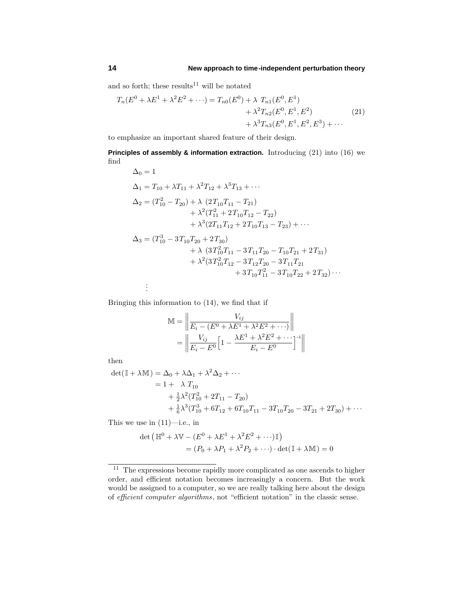and so forth; these results<sup>11</sup> will be notated

$$
T_n(E^0 + \lambda E^1 + \lambda^2 E^2 + \cdots) = T_{n0}(E^0) + \lambda T_{n1}(E^0, E^1) + \lambda^2 T_{n2}(E^0, E^1, E^2) + \lambda^3 T_{n3}(E^0, E^1, E^2, E^3) + \cdots
$$
 (21)

to emphasize an important shared feature of their design.

**Principles of assembly & information extraction.** Introducing (21) into (16) we find

$$
\Delta_0 = 1
$$
\n
$$
\Delta_1 = T_{10} + \lambda T_{11} + \lambda^2 T_{12} + \lambda^3 T_{13} + \cdots
$$
\n
$$
\Delta_2 = (T_{10}^2 - T_{20}) + \lambda (2T_{10}T_{11} - T_{21})
$$
\n
$$
+ \lambda^2 (T_{11}^2 + 2T_{10}T_{12} - T_{22})
$$
\n
$$
+ \lambda^3 (2T_{11}T_{12} + 2T_{10}T_{13} - T_{23}) + \cdots
$$
\n
$$
\Delta_3 = (T_{10}^3 - 3T_{10}T_{20} + 2T_{30})
$$
\n
$$
+ \lambda (3T_{10}^2T_{11} - 3T_{11}T_{20} - T_{10}T_{21} + 2T_{31})
$$
\n
$$
+ \lambda^2 (3T_{10}^2T_{12} - 3T_{12}T_{20} - 3T_{11}T_{21}
$$
\n
$$
+ 3T_{10}T_{11}^2 - 3T_{10}T_{22} + 2T_{32}) \cdots
$$
\n
$$
\vdots
$$

Bringing this information to (14), we find that if

$$
\mathbb{M} = \left\| \frac{V_{ij}}{E_i - (E^0 + \lambda E^1 + \lambda^2 E^2 + \cdots)} \right\|
$$
  
= 
$$
\left\| \frac{V_{ij}}{E_i - E^0} \left[ 1 - \frac{\lambda E^1 + \lambda^2 E^2 + \cdots}{E_i - E^0} \right]^{\cdot 1} \right\|
$$

then

$$
det(\mathbb{I} + \lambda \mathbb{M}) = \Delta_0 + \lambda \Delta_1 + \lambda^2 \Delta_2 + \cdots
$$
  
= 1 + \lambda T\_{10}  
+  $\frac{1}{2}\lambda^2 (T_{10}^2 + 2T_{11} - T_{20})$   
+  $\frac{1}{6}\lambda^3 (T_{10}^3 + 6T_{12} + 6T_{10}T_{11} - 3T_{10}T_{20} - 3T_{21} + 2T_{30}) + \cdots$ 

This we use in  $(11)$ —i.e., in

$$
\det (\mathbb{H}^0 + \lambda \mathbb{V} - (E^0 + \lambda E^1 + \lambda^2 E^2 + \cdots) \mathbb{I})
$$
  
=  $(P_0 + \lambda P_1 + \lambda^2 P_2 + \cdots) \cdot \det(\mathbb{I} + \lambda \mathbb{M}) = 0$ 

<sup>&</sup>lt;sup>11</sup> The expressions become rapidly more complicated as one ascends to higher order, and efficient notation becomes increasingly a concern. But the work would be assigned to a computer, so we are really talking here about the design of efficient computer algorithms, not "efficient notation" in the classic sense.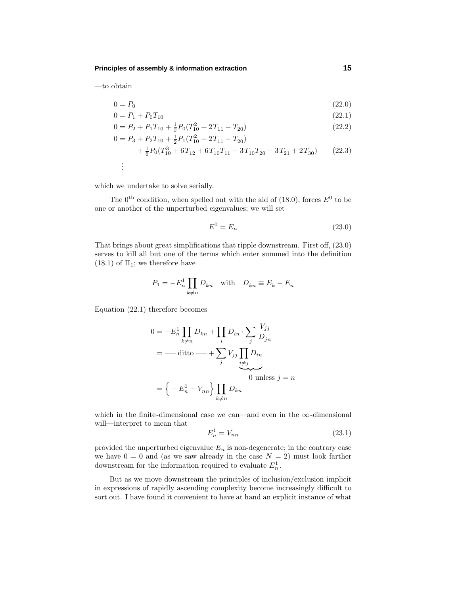**Principles of assembly & information extraction 15**

—to obtain

$$
0 = P_0 \tag{22.0}
$$

$$
0 = P_1 + P_0 T_{10} \tag{22.1}
$$

$$
0 = P_2 + P_1 T_{10} + \frac{1}{2} P_0 (T_{10}^2 + 2T_{11} - T_{20})
$$
\n(22.2)

$$
0 = P_3 + P_2 T_{10} + \frac{1}{2} P_1 (T_{10}^2 + 2T_{11} - T_{20})
$$
  
+ 
$$
\frac{1}{6} P_0 (T_{10}^3 + 6T_{12} + 6T_{10}T_{11} - 3T_{10}T_{20} - 3T_{21} + 2T_{30})
$$
 (22.3)

$$
\frac{1}{2}
$$

which we undertake to solve serially.

The  $0<sup>th</sup>$  condition, when spelled out with the aid of (18.0), forces  $E<sup>0</sup>$  to be one or another of the unperturbed eigenvalues; we will set

$$
E^0 = E_n \tag{23.0}
$$

That brings about great simplifications that ripple downstream. First off, (23.0) serves to kill all but one of the terms which enter summed into the definition  $(18.1)$  of  $\Pi_1$ ; we therefore have

$$
P_1 = -E_n^1 \prod_{k \neq n} D_{kn} \quad \text{with} \quad D_{kn} \equiv E_k - E_n
$$

Equation (22.1) therefore becomes

$$
0 = -E_n^1 \prod_{k \neq n} D_{kn} + \prod_i D_{in} \cdot \sum_j \frac{V_{jj}}{D_{jn}}
$$
  
= -ditto —  $+\sum_j V_{jj} \prod_{\substack{i \neq j}} D_{in}$   

$$
= \left\{-E_n^1 + V_{nn}\right\} \prod_{k \neq n} D_{kn}
$$

which in the finite-dimensional case we can—and even in the  $\infty$ -dimensional will—interpret to mean that

$$
E_n^1 = V_{nn} \tag{23.1}
$$

provided the unperturbed eigenvalue  $E_n$  is non-degenerate; in the contrary case we have  $0 = 0$  and (as we saw already in the case  $N = 2$ ) must look farther downstream for the information required to evaluate  $E_n^1$ .

But as we move downstream the principles of inclusion/exclusion implicit in expressions of rapidly ascending complexity become increasingly difficult to sort out. I have found it convenient to have at hand an explicit instance of what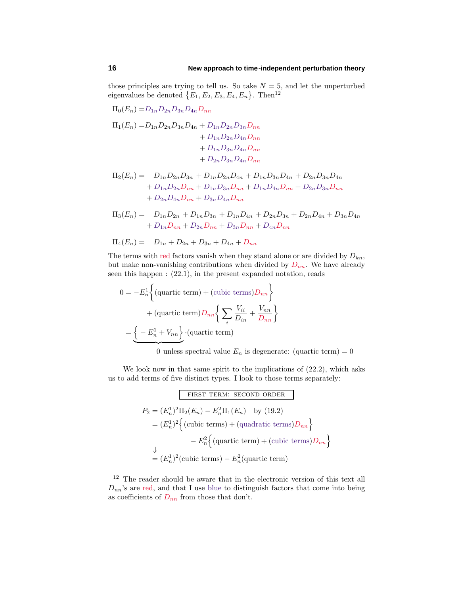those principles are trying to tell us. So take  $N = 5$ , and let the unperturbed eigenvalues be denoted  $\{E_1, E_2, E_3, E_4, E_n\}$ . Then<sup>12</sup>

$$
\Pi_{0}(E_{n}) = D_{1n}D_{2n}D_{3n}D_{4n}D_{nn}
$$
\n
$$
\Pi_{1}(E_{n}) = D_{1n}D_{2n}D_{3n}D_{4n} + D_{1n}D_{2n}D_{3n}D_{nn}
$$
\n
$$
+ D_{1n}D_{2n}D_{4n}D_{nn}
$$
\n
$$
+ D_{1n}D_{3n}D_{4n}D_{nn}
$$
\n
$$
+ D_{2n}D_{3n}D_{4n}D_{nn}
$$
\n
$$
\Pi_{2}(E_{n}) = D_{1n}D_{2n}D_{3n} + D_{1n}D_{2n}D_{4n} + D_{1n}D_{3n}D_{4n} + D_{2n}D_{3n}D_{4n}
$$

$$
+ D_{1n}D_{2n}D_{nn} + D_{1n}D_{3n}D_{nn} + D_{1n}D_{4n}D_{nn} + D_{2n}D_{3n}D_{nn}
$$

$$
+ D_{2n}D_{4n}D_{nn} + D_{3n}D_{4n}D_{nn}
$$

 $\Pi_3(E_n) = D_{1n}D_{2n} + D_{1n}D_{3n} + D_{1n}D_{4n} + D_{2n}D_{3n} + D_{2n}D_{4n} + D_{3n}D_{4n}$  $+ D_{1n}D_{nn} + D_{2n}D_{nn} + D_{3n}D_{nn} + D_{4n}D_{nn}$ 

$$
\Pi_4(E_n) = D_{1n} + D_{2n} + D_{3n} + D_{4n} + D_{nn}
$$

The terms with red factors vanish when they stand alone or are divided by  $D_{kn}$ , but make non-vanishing contributions when divided by  $D_{nn}$ . We have already seen this happen : (22.1), in the present expanded notation, reads

$$
0 = -E_n^1 \left\{ \text{(quartic term)} + \text{(cubic terms)} D_{nn} \right\}
$$

$$
+ \text{(quartic term)} D_{nn} \left\{ \sum_i \frac{V_{ii}}{D_{in}} + \frac{V_{nn}}{D_{nn}} \right\}
$$

$$
= \underbrace{\left\{ -E_n^1 + V_{nn} \right\}} \cdot \text{(quartic term)}
$$

0 unless spectral value  $E_n$  is degenerate: (quartic term) = 0

We look now in that same spirit to the implications of  $(22.2)$ , which asks us to add terms of five distinct types. I look to those terms separately:

**FIRST TERM:** SECOND ORDER

\n
$$
P_2 = (E_n^1)^2 \Pi_2(E_n) - E_n^2 \Pi_1(E_n) \quad \text{by (19.2)}
$$
\n
$$
= (E_n^1)^2 \left\{ (\text{cubic terms}) + (\text{quadratic terms}) D_{nn} \right\}
$$
\n
$$
- E_n^2 \left\{ (\text{quartic term}) + (\text{cubic terms}) D_{nn} \right\}
$$
\n
$$
= (E_n^1)^2 (\text{cubic terms}) - E_n^2 (\text{quartic term})
$$

<sup>&</sup>lt;sup>12</sup> The reader should be aware that in the electronic version of this text all  $D_{nn}$ 's are red, and that I use blue to distinguish factors that come into being as coefficients of  $D_{nn}$  from those that don't.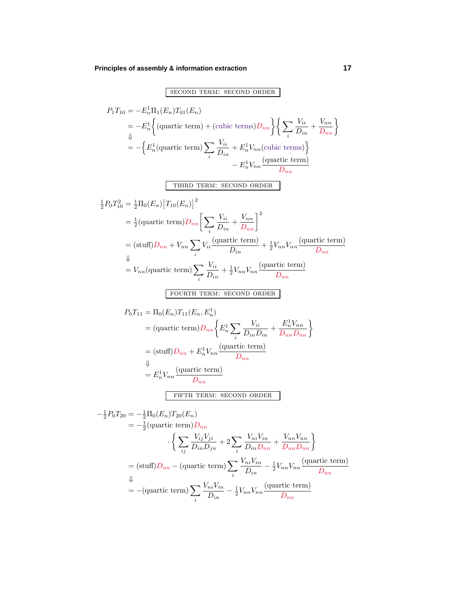# **Principles of assembly & information extraction 17**

### second term: second order

$$
P_{1}T_{10} = -E_{n}^{1}\Pi_{1}(E_{n})T_{01}(E_{n})
$$
  
\n
$$
= -E_{n}^{1}\Big{(
$$
quartic term) + (cubic terms)  $D_{nn}$  $\Big{\{}\sum_{i}\frac{V_{ii}}{D_{in}} + \frac{V_{nn}}{D_{in}}\Big}$ 
$$
= -\Big{E_{n}^{1}(
$$
quartic term)  $\Big{\{}\sum_{i}\frac{V_{ii}}{D_{in}} + E_{n}^{1}V_{nn}$  (cubic terms)  $\Big{}$ 
$$
-E_{n}^{1}V_{nn}
$$
 (quartic term)
$$
-E_{n}^{1}V_{nn}
$$
 (quartic term)
$$
= \frac{1}{2}\Pi_{0}(E_{n})[T_{10}(E_{n})]^{2}
$$

$$
= \frac{1}{2}(
$$
quartic term)  $D_{nn}\Big{[\sum_{i}\frac{V_{ii}}{D_{in}} + \frac{V_{nn}}{D_{in}}\Big{]}^{2}}$ 
$$
= (
$$
stuff)  $D_{nn} + V_{nn} \sum_{i} V_{ii}$  (quartic term)
$$
+ \frac{1}{2}V_{nn}V_{nn}
$$
 (quartic term)
$$
\Big{}
$$

$$
= V_{nn}
$$
 (quartic term)  $\sum_{i}\frac{V_{ii}}{D_{in}} + \frac{1}{2}V_{nn}V_{nn}$  (quartic term)
$$
= V_{nn}
$$
 (quartic term)  $\sum_{i}\frac{V_{ii}}{D_{in}} + \frac{1}{2}V_{nn}V_{nn}$  (quartic term)
$$
P_{0}T_{11} = \Pi_{0}(E_{n})T_{11}(E_{n}, E_{n}^{1})
$$

$$
= (
$$
quartic term)  $D_{nn} \Big{$ 
$$
E_{n}^{1}V_{nn}
$$
 (quartic term)
$$
= \frac{1}{2}P_{0}T_{20} = -\frac{1}{2}\Pi_{0}(E_{n})T_{20}(E_{n})
$$

$$
= -\frac{1}{2}(
$$
quartic term)  $D_{nn}$ 
$$
\Big{}
$$
 
$$
\Big{}
$$
  $\frac{V_{ij}V_{ji}}{D_{in}} + 2\sum_{i}\frac{V_{ni}$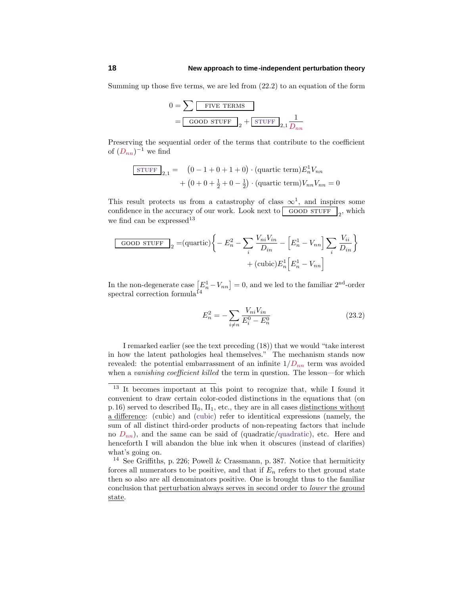Summing up those five terms, we are led from (22.2) to an equation of the form

$$
0 = \sum \boxed{\text{FIVE TERMS}}
$$
  
= Good STEP 
$$
_{2} + \boxed{\text{STUFF}}_{2,1} \frac{1}{D_{nn}}
$$

Preserving the sequential order of the terms that contribute to the coefficient of  $(D_{nn})^{-1}$  we find

$$
\frac{\text{STUFF}}{2,1} = (0 - 1 + 0 + 1 + 0) \cdot (\text{quartic term}) E_n^1 V_{nn}
$$

$$
+ (0 + 0 + \frac{1}{2} + 0 - \frac{1}{2}) \cdot (\text{quartic term}) V_{nn} V_{nn} = 0
$$

This result protects us from a catastrophy of class  $\infty^1$ , and inspires some confidence in the accuracy of our work. Look next to  $\boxed{\text{GOOD STUFF}}_2$ , which we find can be expressed<sup>13</sup>

$$
\boxed{\text{GOOD STUFF}}_2 = (\text{quartic}) \bigg\{ -E_n^2 - \sum_i \frac{V_{ni} V_{in}}{D_{in}} - \left[E_n^1 - V_{nn}\right] \sum_i \frac{V_{ii}}{D_{in}}\bigg\}
$$

$$
+ (\text{cubic}) E_n^1 \left[E_n^1 - V_{nn}\right]
$$

In the non-degenerate case  $[E_n^1 - V_{nn}] = 0$ , and we led to the familiar  $2<sup>nd</sup>$ -order spectral correction formula<sup> $I_4$ </sup>

$$
E_n^2 = -\sum_{i \neq n} \frac{V_{ni} V_{in}}{E_i^0 - E_n^0}
$$
 (23.2)

I remarked earlier (see the text preceding (18)) that we would "take interest in how the latent pathologies heal themselves." The mechanism stands now revealed: the potential embarrassment of an infinite  $1/D_{nn}$  term was avoided when a vanishing coefficient killed the term in question. The lesson—for which

<sup>13</sup> It becomes important at this point to recognize that, while I found it convenient to draw certain color-coded distinctions in the equations that (on p.16) served to described  $\Pi_0$ ,  $\Pi_1$ , etc., they are in all cases distinctions without a difference: (cubic) and (cubic) refer to identitical expressions (namely, the sum of all distinct third-order products of non-repeating factors that include no  $D_{nn}$ ), and the same can be said of (quadratic/quadratic), etc. Here and henceforth I will abandon the blue ink when it obscures (instead of clarifies) what's going on.

<sup>14</sup> See Griffiths, p. 226; Powell & Crassmann, p. 387. Notice that hermiticity forces all numerators to be positive, and that if  $E_n$  refers to thet ground state then so also are all denominators positive. One is brought thus to the familiar conclusion that perturbation always serves in second order to lower the ground state.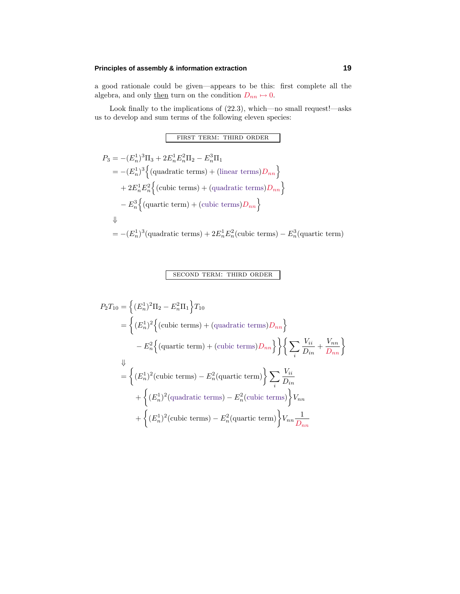### **Principles of assembly & information extraction 19**

a good rationale could be given—appears to be this: first complete all the algebra, and only then turn on the condition  $D_{nn} \mapsto 0$ .

Look finally to the implications of  $(22.3)$ , which—no small request!—asks us to develop and sum terms of the following eleven species:

first term: third order

$$
P_3 = -(E_n^1)^3 \Pi_3 + 2E_n^1 E_n^2 \Pi_2 - E_n^3 \Pi_1
$$
  
=  $-(E_n^1)^3 \Big\{ (\text{quadratic terms}) + (\text{linear terms}) D_{nn} \Big\}$   
+  $2E_n^1 E_n^2 \Big\{ (\text{cubic terms}) + (\text{quadratic terms}) D_{nn} \Big\}$   
-  $E_n^3 \Big\{ (\text{quartic term}) + (\text{cubic terms}) D_{nn} \Big\}$   
 $\Downarrow$   
=  $-(E_n^1)^3 (\text{quadratic terms}) + 2E_n^1 E_n^2 (\text{cubic terms}) - E_n^3 (\text{quartic term})$ 

# second term: third order

$$
P_2T_{10} = \left\{ (E_n^1)^2 \Pi_2 - E_n^2 \Pi_1 \right\} T_{10}
$$
  
\n
$$
= \left\{ (E_n^1)^2 \left\{ (\text{cubic terms}) + (\text{quadratic terms}) D_{nn} \right\} - E_n^2 \left\{ (\text{quartic term}) + (\text{cubic terms}) D_{nn} \right\} \right\} \left\{ \sum_i \frac{V_{ii}}{D_{in}} + \frac{V_{nn}}{D_{nn}} \right\}
$$
  
\n
$$
= \left\{ (E_n^1)^2 (\text{cubic terms}) - E_n^2 (\text{quartic term}) \right\} \sum_i \frac{V_{ii}}{D_{in}} + \left\{ (E_n^1)^2 (\text{quadratic terms}) - E_n^2 (\text{cubic terms}) \right\} V_{nn} + \left\{ (E_n^1)^2 (\text{cubic terms}) - E_n^2 (\text{quartic term}) \right\} V_{nn} \frac{1}{D_{nn}}
$$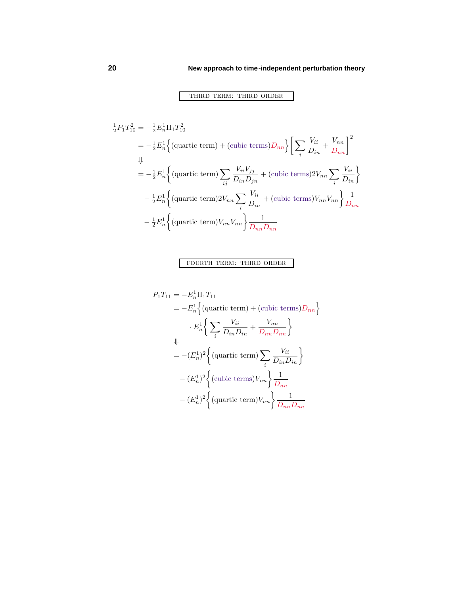# third term: third order

$$
\frac{1}{2}P_1T_{10}^2 = -\frac{1}{2}E_n^1\Pi_1T_{10}^2
$$
\n
$$
= -\frac{1}{2}E_n^1\Big\{(\text{quartic term}) + (\text{cubic terms})D_{nn}\Big\}\Big[\sum_i \frac{V_{ii}}{D_{in}} + \frac{V_{nn}}{D_{nn}}\Big]^2
$$
\n
$$
\Downarrow
$$
\n
$$
= -\frac{1}{2}E_n^1\Big\{(\text{quartic term})\sum_{ij}\frac{V_{ii}V_{jj}}{D_{in}D_{jn}} + (\text{cubic terms})2V_{nn}\sum_i\frac{V_{ii}}{D_{in}}\Big\}
$$
\n
$$
- \frac{1}{2}E_n^1\Big\{(\text{quartic term})2V_{nn}\sum_i\frac{V_{ii}}{D_{in}} + (\text{cubic terms})V_{nn}V_{nn}\Big\}\frac{1}{D_{nn}}
$$
\n
$$
- \frac{1}{2}E_n^1\Big\{(\text{quartic term})V_{nn}V_{nn}\Big\}\frac{1}{D_{nn}D_{nn}}
$$

## fourth term: third order

$$
P_1T_{11} = -E_n^1 \Pi_1 T_{11}
$$
  
=  $-E_n^1 \Big\{ \text{(quartic term)} + \text{(cubic terms)} D_{nn} \Big\}$   
 $\cdot E_n^1 \Big\{ \sum_i \frac{V_{ii}}{D_{in} D_{in}} + \frac{V_{nn}}{D_{nn} D_{nn}} \Big\}$   
 $= -(E_n^1)^2 \Big\{ \text{(quartic term)} \sum_i \frac{V_{ii}}{D_{in} D_{in}} \Big\}$   
 $- (E_n^1)^2 \Big\{ \text{(cubic terms)} V_{nn} \Big\} \frac{1}{D_{nn}}$   
 $- (E_n^1)^2 \Big\{ \text{(quartic term)} V_{nn} \Big\} \frac{1}{D_{nn} D_{nn}}$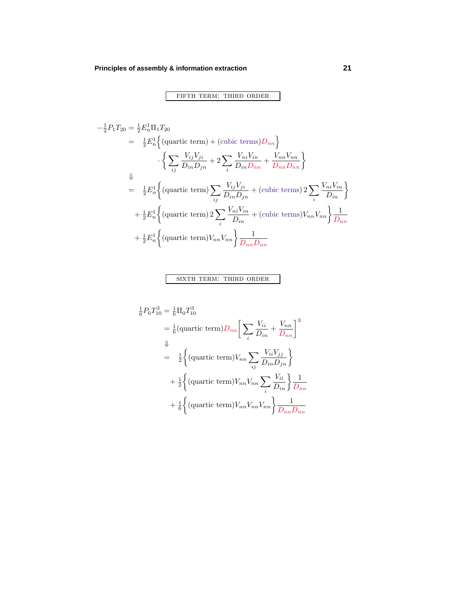−<sup>1</sup>

fifth term: third order

$$
\frac{1}{2}P_1T_{20} = \frac{1}{2}E_n^1\Pi_1T_{20}
$$
\n
$$
= \frac{1}{2}E_n^1\Big\{ \text{(quartic term)} + \text{(cubic terms)}D_{nn} \Big\}
$$
\n
$$
\Big\{ \sum_{ij} \frac{V_{ij}V_{ji}}{D_{in}D_{jn}} + 2\sum_i \frac{V_{ni}V_{in}}{D_{in}D_{nn}} + \frac{V_{nn}V_{nn}}{D_{nn}D_{nn}} \Big\}
$$
\n
$$
\Downarrow
$$
\n
$$
= \frac{1}{2}E_n^1\Big\{ \text{(quartic term)} \sum_{ij} \frac{V_{ij}V_{ji}}{D_{in}D_{jn}} + \text{(cubic terms)} 2\sum_i \frac{V_{ni}V_{in}}{D_{in}} \Big\}
$$
\n
$$
+ \frac{1}{2}E_n^1\Big\{ \text{(quartic term)} 2\sum_i \frac{V_{ni}V_{in}}{D_{in}} + \text{(cubic terms)}V_{nn}V_{nn} \Big\} \frac{1}{D_{nn}}
$$
\n
$$
+ \frac{1}{2}E_n^1\Big\{ \text{(quartic term)}V_{nn}V_{nn} \Big\} \frac{1}{D_{nn}D_{nn}}
$$

# sixth term: third order

$$
\frac{1}{6}P_0T_{10}^3 = \frac{1}{6}\Pi_0T_{10}^3
$$
\n
$$
= \frac{1}{6}(\text{quartic term})D_{nn}\left[\sum_i \frac{V_{ii}}{D_{in}} + \frac{V_{nn}}{D_{nn}}\right]^3
$$
\n
$$
\Downarrow
$$
\n
$$
= \frac{1}{2}\left\{(\text{quartic term})V_{nn}\sum_{ij}\frac{V_{ii}V_{jj}}{D_{in}D_{jn}}\right\}
$$
\n
$$
+ \frac{1}{2}\left\{(\text{quartic term})V_{nn}V_{nn}\sum_i\frac{V_{ii}}{D_{in}}\right\}\frac{1}{D_{nn}}
$$
\n
$$
+ \frac{1}{6}\left\{(\text{quartic term})V_{nn}V_{nn}V_{nn}\right\}\frac{1}{D_{nn}D_{nn}}
$$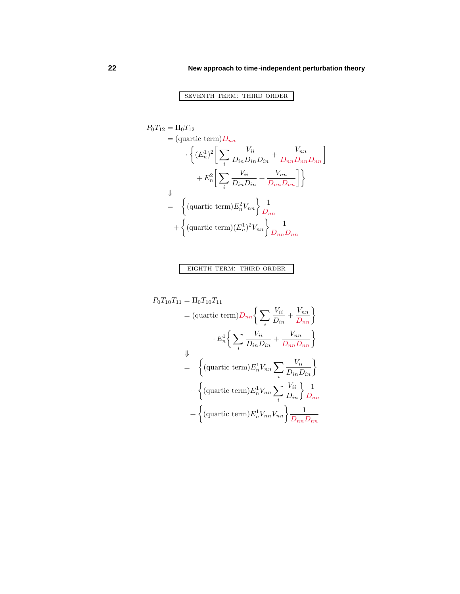# seventh term: third order

$$
P_0T_{12} = \Pi_0T_{12}
$$
  
\n
$$
= (\text{quartic term})D_{nn}
$$
  
\n
$$
\left\{ (E_n^1)^2 \left[ \sum_i \frac{V_{ii}}{D_{in}D_{in}D_{in}} + \frac{V_{nn}}{D_{nn}D_{nn}D_{nn}} \right] + E_n^2 \left[ \sum_i \frac{V_{ii}}{D_{in}D_{in}} + \frac{V_{nn}}{D_{nn}D_{nn}} \right] \right\}
$$
  
\n
$$
\downarrow
$$
  
\n
$$
= \left\{ (\text{quartic term})E_n^2 V_{nn} \right\} \frac{1}{D_{nn}}
$$
  
\n
$$
+ \left\{ (\text{quartic term})(E_n^1)^2 V_{nn} \right\} \frac{1}{D_{nn}D_{nn}}
$$

eighth term: third order

$$
P_0T_{10}T_{11} = \Pi_0T_{10}T_{11}
$$
  
\n
$$
= (\text{quartic term})D_{nn}\left\{\sum_i \frac{V_{ii}}{D_{in}} + \frac{V_{nn}}{D_{nn}}\right\}
$$
  
\n
$$
\cdot E_n^1 \left\{\sum_i \frac{V_{ii}}{D_{in}D_{in}} + \frac{V_{nn}}{D_{nn}D_{nn}}\right\}
$$
  
\n
$$
= \left\{ (\text{quartic term})E_n^1V_{nn}\sum_i \frac{V_{ii}}{D_{in}D_{in}} \right\}
$$
  
\n
$$
+ \left\{ (\text{quartic term})E_n^1V_{nn}\sum_i \frac{V_{ii}}{D_{in}} \right\} \frac{1}{D_{nn}}
$$
  
\n
$$
+ \left\{ (\text{quartic term})E_n^1V_{nn}V_{nn} \right\} \frac{1}{D_{nn}D_{nn}}
$$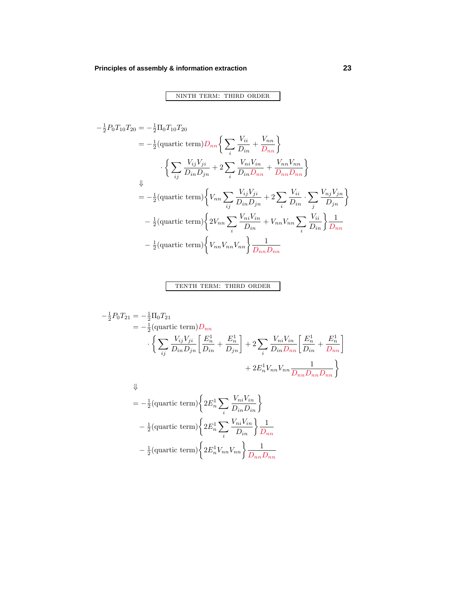ninth term: third order

$$
-\frac{1}{2}P_0T_{10}T_{20} = -\frac{1}{2}\Pi_0T_{10}T_{20}
$$
  
\n
$$
= -\frac{1}{2}(\text{quartic term})D_{nn}\left\{\sum_i \frac{V_{ii}}{D_{in}} + \frac{V_{nn}}{D_{nn}}\right\}
$$
  
\n
$$
\cdot \left\{\sum_{ij} \frac{V_{ij}V_{ji}}{D_{in}D_{jn}} + 2\sum_i \frac{V_{ni}V_{in}}{D_{in}D_{nn}} + \frac{V_{nn}V_{nn}}{D_{nn}D_{nn}}\right\}
$$
  
\n
$$
\downarrow
$$
  
\n
$$
= -\frac{1}{2}(\text{quartic term})\left\{V_{nn}\sum_{ij} \frac{V_{ij}V_{ji}}{D_{in}D_{jn}} + 2\sum_i \frac{V_{ii}}{D_{in}} \cdot \sum_j \frac{V_{nj}V_{jn}}{D_{jn}}\right\}
$$
  
\n
$$
-\frac{1}{2}(\text{quartic term})\left\{2V_{nn}\sum_i \frac{V_{ni}V_{in}}{D_{in}} + V_{nn}V_{nn}\sum_i \frac{V_{ii}}{D_{in}}\right\}\frac{1}{D_{nn}}
$$
  
\n
$$
-\frac{1}{2}(\text{quartic term})\left\{V_{nn}V_{nn}V_{nn}\right\}\frac{1}{D_{nn}D_{nn}}
$$

### tenth term: third order

$$
-\frac{1}{2}P_0T_{21} = -\frac{1}{2}\Pi_0T_{21}
$$
  
=  $-\frac{1}{2}$ (quartic term) $D_{nn}$   

$$
\cdot \left\{ \sum_{ij} \frac{V_{ij}V_{ji}}{D_{in}D_{jn}} \left[ \frac{E_n^1}{D_{in}} + \frac{E_n^1}{D_{jn}} \right] + 2 \sum_i \frac{V_{ni}V_{in}}{D_{in}D_{nn}} \left[ \frac{E_n^1}{D_{in}} + \frac{E_n^1}{D_{nn}} \right] + 2E_n^1V_{nn}V_{nn} \frac{1}{D_{nn}D_{nn}D_{nn}} \right\}
$$
  
 $\Downarrow$ 

$$
= -\frac{1}{2}(\text{quartic term})\left\{2E_n^1\sum_i\frac{V_{ni}V_{in}}{D_{in}D_{in}}\right\}
$$

$$
-\frac{1}{2}(\text{quartic term})\left\{2E_n^1\sum_i\frac{V_{ni}V_{in}}{D_{in}}\right\}\frac{1}{D_{nn}}
$$

$$
-\frac{1}{2}(\text{quartic term})\left\{2E_n^1V_{nn}V_{nn}\right\}\frac{1}{D_{nn}D_{nn}}
$$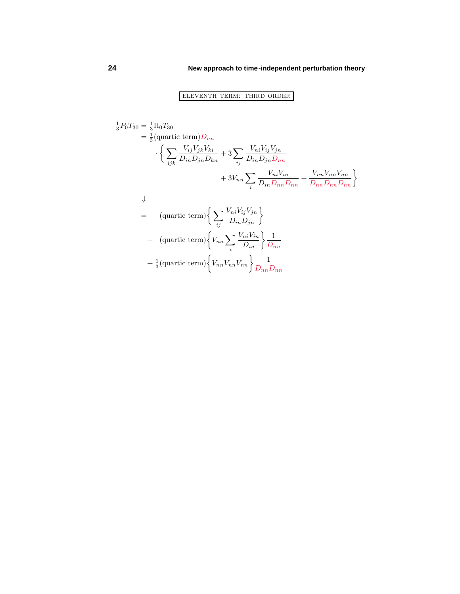# eleventh term: third order

$$
\frac{1}{3}P_0T_{30} = \frac{1}{3}\Pi_0T_{30}
$$
\n
$$
= \frac{1}{3}(\text{quartic term})D_{nn}
$$
\n
$$
\left\{\sum_{ijk}\frac{V_{ij}V_{jk}V_{ki}}{D_{in}D_{jn}D_{kn}} + 3\sum_{ij}\frac{V_{ni}V_{ij}V_{jn}}{D_{in}D_{jn}D_{nn}} + 3V_{nn}\sum_i\frac{V_{ni}V_{in}}{D_{in}D_{nn}D_{nn}} + \frac{V_{nn}V_{nn}V_{nn}}{D_{nn}D_{nn}D_{nn}}\right\}
$$
\n
$$
\downarrow
$$
\n
$$
= (\text{quartic term})\left\{\sum_{ij}\frac{V_{ni}V_{ij}V_{jn}}{D_{in}D_{jn}}\right\}
$$
\n
$$
+ (\text{quartic term})\left\{V_{nn}\sum_i\frac{V_{ni}V_{in}}{D_{in}}\right\}\frac{1}{D_{nn}}
$$
\n
$$
+ \frac{1}{3}(\text{quartic term})\left\{V_{nn}V_{nn}V_{nn}\right\}\frac{1}{D_{nn}D_{nn}}
$$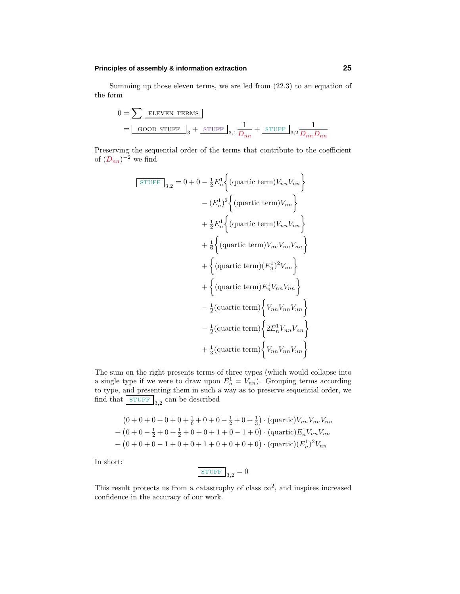### **Principles of assembly & information extraction 25**

Summing up those eleven terms, we are led from (22.3) to an equation of the form

$$
0 = \sum \boxed{\text{ELEVEN TERMS}}
$$
  
= 
$$
\boxed{\text{GOOD stuff}}_3 + \boxed{\text{STUFF}}_{3,1} \frac{1}{D_{nn}} + \boxed{\text{STUFF}}_{3,2} \frac{1}{D_{nn}D_{nn}}
$$

Preserving the sequential order of the terms that contribute to the coefficient of  $(D_{nn})^{-2}$  we find

$$
\begin{aligned}\n\boxed{\text{STUFF}}_{3,2} &= 0 + 0 - \frac{1}{2} E_n^1 \Big\{ (\text{quartic term}) V_{nn} V_{nn} \Big\} \\
&\quad - (E_n^1)^2 \Big\{ (\text{quartic term}) V_{nn} \Big\} \\
&\quad + \frac{1}{2} E_n^1 \Big\{ (\text{quartic term}) V_{nn} V_{nn} \Big\} \\
&\quad + \frac{1}{6} \Big\{ (\text{quartic term}) V_{nn} V_{nn} V_{nn} \Big\} \\
&\quad + \Big\{ (\text{quartic term}) (E_n^1)^2 V_{nn} \Big\} \\
&\quad + \Big\{ (\text{quartic term}) E_n^1 V_{nn} V_{nn} \Big\} \\
&\quad - \frac{1}{2} (\text{quartic term}) \Big\{ V_{nn} V_{nn} V_{nn} \Big\} \\
&\quad - \frac{1}{2} (\text{quartic term}) \Big\{ 2 E_n^1 V_{nn} V_{nn} \Big\} \\
&\quad + \frac{1}{3} (\text{quartic term}) \Big\{ V_{nn} V_{nn} V_{nn} \Big\} \\
\end{aligned}
$$

The sum on the right presents terms of three types (which would collapse into a single type if we were to draw upon  $E_n^1 = V_{nn}$ ). Grouping terms according to type, and presenting them in such a way as to preserve sequential order, we find that  $\boxed{\text{STUFF}}_{3,2}$  can be described

$$
(0+0+0+0+0+\frac{1}{6}+0+0-\frac{1}{2}+0+\frac{1}{3}) \cdot (\text{quartic})V_{nn}V_{nn}V_{nn}
$$
  
+
$$
(0+0-\frac{1}{2}+0+\frac{1}{2}+0+0+1+0-1+0) \cdot (\text{quartic})E_n^1V_{nn}V_{nn}
$$
  
+
$$
(0+0+0-1+0+0+1+0+0+0+0) \cdot (\text{quartic})(E_n^1)^2V_{nn}
$$

In short:

$$
\begin{array}{c|c}\n\text{STUFF} & 3,2 = 0\n\end{array}
$$

This result protects us from a catastrophy of class  $\infty^2$ , and inspires increased confidence in the accuracy of our work.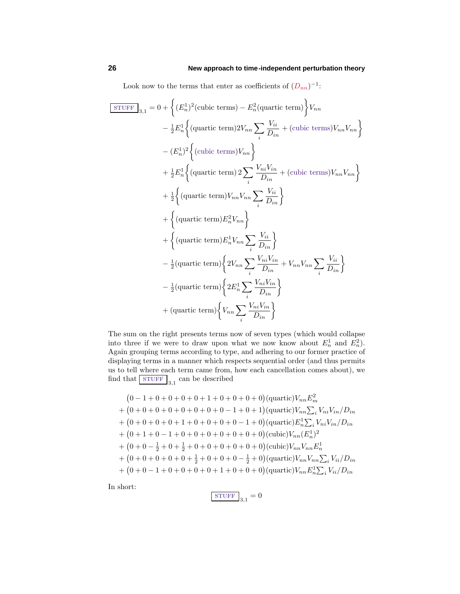Look now to the terms that enter as coefficients of  $(D_{nn})^{-1}$ :

$$
\begin{split}\n\boxed{\text{STUFF}}_{3,1} &= 0 + \left\{ (E_n^1)^2 \text{(cubic terms)} - E_n^2 \text{(quartic term)} \right\} V_{nn} \\
&\quad - \frac{1}{2} E_n^1 \left\{ \text{(quartic term)} 2 V_{nn} \sum_i \frac{V_{ii}}{D_{in}} + \text{(cubic terms)} V_{nn} V_{nn} \right\} \\
&\quad - (E_n^1)^2 \left\{ \text{(cubic terms)} V_{nn} \right\} \\
&\quad + \frac{1}{2} E_n^1 \left\{ \text{(quartic term)} 2 \sum_i \frac{V_{ni} V_{in}}{D_{in}} + \text{(cubic terms)} V_{nn} V_{nn} \right\} \\
&\quad + \frac{1}{2} \left\{ \text{(quartic term)} V_{nn} V_{nn} \sum_i \frac{V_{ii}}{D_{in}} \right\} \\
&\quad + \left\{ \text{(quartic term)} E_n^2 V_{nn} \right\} \\
&\quad + \left\{ \text{(quartic term)} E_n^1 V_{nn} \sum_i \frac{V_{ni}}{D_{in}} \right\} \\
&\quad - \frac{1}{2} \text{(quartic term)} \left\{ 2 V_{nn} \sum_i \frac{V_{ni} V_{in}}{D_{in}} + V_{nn} V_{nn} \sum_i \frac{V_{ii}}{D_{in}} \right\} \\
&\quad - \frac{1}{2} \text{(quartic term)} \left\{ 2 E_n^1 \sum_i \frac{V_{ni} V_{in}}{D_{in}} \right\} \\
&\quad + \text{(quartic term)} \left\{ V_{nn} \sum_i \frac{V_{ni} V_{in}}{D_{in}} \right\}\n\end{split}
$$

The sum on the right presents terms now of seven types (which would collapse into three if we were to draw upon what we now know about  $E_n^1$  and  $E_n^2$ ). Again grouping terms according to type, and adhering to our former practice of displaying terms in a manner which respects sequential order (and thus permits us to tell where each term came from, how each cancellation comes about), we find that  $\boxed{\text{STUFF}}_{3.1}$  can be described

$$
(0-1+0+0+0+0+1+0+0+0+0)(\text{quartic})V_{nn}E_m^2
$$
  
+  $(0+0+0+0+0+0+0+0-1+0+1)(\text{quartic})V_{nn}\sum_i V_{ni}V_{in}/D_{in}$   
+  $(0+0+0+0+1+0+0+0+0-1+0)(\text{quartic})E_n^1\sum_i V_{ni}V_{in}/D_{in}$   
+  $(0+1+0-1+0+0+0+0+0+0+0+0)(\text{cubic})V_{nn}(E_n^1)^2$   
+  $(0+0-\frac{1}{2}+0+\frac{1}{2}+0+0+0+0+0+0)(\text{cubic})V_{nn}V_{nn}E_n^1$   
+  $(0+0+0+0+0+0+\frac{1}{2}+0+0+0-\frac{1}{2}+0)(\text{quartic})V_{nn}V_{nn}\sum_i V_{ii}/D_{in}$   
+  $(0+0-1+0+0+0+0+0+1+0+0+0)(\text{quartic})V_{nn}E_n^1\sum_i V_{ii}/D_{in}$ 

In short:

$$
\boxed{\text{STUFF}}_{3,1} = 0
$$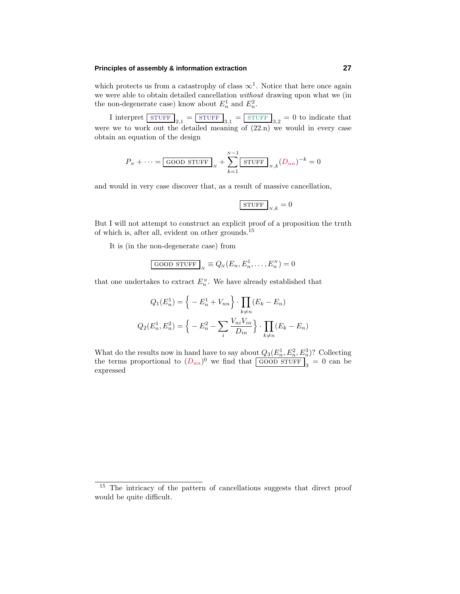#### **Principles of assembly & information extraction 27**

which protects us from a catastrophy of class  $\infty^1$ . Notice that here once again we were able to obtain detailed cancellation without drawing upon what we (in the non-degenerate case) know about  $E_n^1$  and  $E_n^2$ .

I interpret  $\boxed{\text{STUFF}}_{2,1} = \boxed{\text{STUFF}}_{3,1} = \boxed{\text{STUFF}}_{3,2} = 0$  to indicate that were we to work out the detailed meaning of  $(22n)$  we would in every case obtain an equation of the design

$$
P_N + \dots = \boxed{\text{GOOD STUFF}}_N + \sum_{k=1}^{N-1} \boxed{\text{STUFF}}_{N,k} (D_{nn})^{-k} = 0
$$

and would in very case discover that, as a result of massive cancellation,

$$
\boxed{\text{STUFF}}_{N,k}=0
$$

But I will not attempt to construct an explicit proof of a proposition the truth of which is, after all, evident on other grounds.<sup>15</sup>

It is (in the non-degenerate case) from

$$
\text{GOOD STUFF}_N \equiv Q_N(E_n, E_n^1, \dots, E_n^N) = 0
$$

that one undertakes to extract  $E_n^N$ . We have already established that

$$
Q_1(E_n^1) = \left\{ -E_n^1 + V_{nn} \right\} \cdot \prod_{k \neq n} (E_k - E_n)
$$

$$
Q_2(E_n^1, E_n^2) = \left\{ -E_n^2 - \sum_i \frac{V_{ni}V_{in}}{D_{in}} \right\} \cdot \prod_{k \neq n} (E_k - E_n)
$$

What do the results now in hand have to say about  $Q_3(E_n^1, E_n^2, E_n^3)$ ? Collecting the terms proportional to  $(D_{nn})^0$  we find that  $\boxed{\text{GOOD STUFF}}_3^0 = 0$  can be expressed

<sup>&</sup>lt;sup>15</sup> The intricacy of the pattern of cancellations suggests that direct proof would be quite difficult.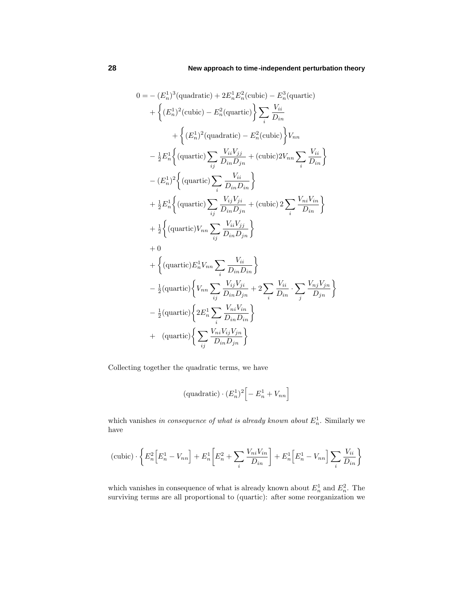$$
0 = - (E_n^1)^3 \text{(quadratic)} + 2E_n^1 E_n^2 \text{(cubic)} - E_n^3 \text{(quartic)} + \left\{ (E_n^1)^2 \text{(cubic)} - E_n^2 \text{(quartic)} \right\} \sum_i \frac{V_{ii}}{D_{in}} + \left\{ (E_n^1)^2 \text{(quadratic)} - E_n^2 \text{(cubic)} \right\} V_{nn} - \frac{1}{2} E_n^1 \left\{ \text{(quartic)} \sum_{ij} \frac{V_{ii} V_{jj}}{D_{in} D_{jn}} + \text{(cubic)} 2V_{nn} \sum_i \frac{V_{ii}}{D_{in}} \right\} - (E_n^1)^2 \left\{ \text{(quartic)} \sum_i \frac{V_{ii}}{D_{in} D_{in}} \right\} + \frac{1}{2} E_n^1 \left\{ \text{(quartic)} \sum_{ij} \frac{V_{ij} V_{ji}}{D_{in} D_{jn}} + \text{(cubic)} 2 \sum_i \frac{V_{ni} V_{in}}{D_{in}} \right\} + \frac{1}{2} \left\{ \text{(quartic)} V_{nn} \sum_{ij} \frac{V_{ii} V_{jj}}{D_{in} D_{jn}} \right\} + 0 + \left\{ \text{(quartic)} E_n^1 V_{nn} \sum_i \frac{V_{ii}}{D_{in} D_{in}} \right\} - \frac{1}{2} \text{(quartic)} \left\{ V_{nn} \sum_{ij} \frac{V_{ij} V_{ji}}{D_{in} D_{jn}} + 2 \sum_i \frac{V_{ii}}{D_{in}} \cdot \sum_j \frac{V_{nj} V_{jn}}{D_{jn}} \right\} - \frac{1}{2} \text{(quartic)} \left\{ 2E_n^1 \sum_i \frac{V_{ni} V_{in}}{D_{in} D_{in}} \right\} + \text{(quartic)} \left\{ 2E_n^1 \sum_i \frac{V_{ni} V_{in}}{D_{in} D_{jn}} \right\}
$$

Collecting together the quadratic terms, we have

$$
(\text{quadratic}) \cdot (E_n^1)^2 \Big[ -E_n^1 + V_{nn} \Big]
$$

which vanishes in consequence of what is already known about  $E_n^1$ . Similarly we have

$$
(\text{cubic}) \cdot \left\{ E_n^2 \Big[E_n^1 - V_{nn}\Big] + E_n^1 \Big[E_n^2 + \sum_i \frac{V_{ni} V_{in}}{D_{in}}\Big] + E_n^1 \Big[E_n^1 - V_{nn}\Big] \sum_i \frac{V_{ii}}{D_{in}} \right\}
$$

which vanishes in consequence of what is already known about  $E_n^1$  and  $E_n^2$ . The surviving terms are all proportional to (quartic): after some reorganization we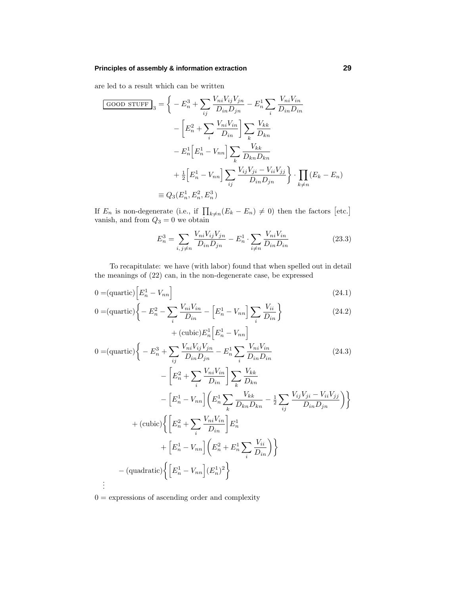### **Principles of assembly & information extraction 29**

are led to a result which can be written

$$
\frac{\text{GOOD STUFF}}{1} = \left\{ -E_n^3 + \sum_{ij} \frac{V_{ni} V_{ij} V_{jn}}{D_{in} D_{jn}} - E_n^1 \sum_i \frac{V_{ni} V_{in}}{D_{in} D_{in}} \right\}
$$

$$
- \left[ E_n^2 + \sum_i \frac{V_{ni} V_{in}}{D_{in}} \right] \sum_k \frac{V_{kk}}{D_{kn}}
$$

$$
- E_n^1 \left[ E_n^1 - V_{nn} \right] \sum_k \frac{V_{kk}}{D_{kn} D_{kn}}
$$

$$
+ \frac{1}{2} \left[ E_n^1 - V_{nn} \right] \sum_{ij} \frac{V_{ij} V_{ji} - V_{ii} V_{jj}}{D_{in} D_{jn}} \right\} \cdot \prod_{k \neq n} (E_k - E_n)
$$

$$
\equiv Q_3 (E_n^1, E_n^2, E_n^3)
$$

If  $E_n$  is non-degenerate (i.e., if  $\prod_{k\neq n}(E_k - E_n) \neq 0$ ) then the factors [etc.] vanish, and from  $Q_3 = 0$  we obtain

$$
E_n^3 = \sum_{i,j \neq n} \frac{V_{ni} V_{ij} V_{jn}}{D_{in} D_{jn}} - E_n^1 \cdot \sum_{i \neq n} \frac{V_{ni} V_{in}}{D_{in} D_{in}} \tag{23.3}
$$

To recapitulate: we have (with labor) found that when spelled out in detail the meanings of (22) can, in the non-degenerate case, be expressed

$$
0 = (\text{quartic}) \left[ E_n^1 - V_{nn} \right] \tag{24.1}
$$

$$
0 = (\text{quartic}) \left\{ -E_n^2 - \sum_i \frac{V_{ni}V_{in}}{D_{in}} - \left[E_n^1 - V_{nn}\right] \sum_i \frac{V_{ii}}{D_{in}} \right\}
$$
  
+ (\text{cubic}) E\_n^1 \left[E\_n^1 - V\_{nn}\right] \qquad (24.2)

$$
0 = (\text{quartic}) \left\{ -E_n^3 + \sum_{ij} \frac{V_{ni} V_{ij} V_{jn}}{D_{in} D_{jn}} - E_n^1 \sum_i \frac{V_{ni} V_{in}}{D_{in} D_{in}} - \left[ E_n^2 + \sum_i \frac{V_{ni} V_{in}}{D_{in}} \right] \sum_k \frac{V_{kk}}{D_{kn}} - \left[ E_n^1 - V_{nn} \right] \left( E_n^1 \sum_k \frac{V_{kk}}{D_{kn} D_{kn}} - \frac{1}{2} \sum_{ij} \frac{V_{ij} V_{ji} - V_{ii} V_{jj}}{D_{in} D_{jn}} \right) \right\} + (\text{cubic}) \left\{ \left[ E_n^2 + \sum_i \frac{V_{ni} V_{in}}{D_{in}} \right] E_n^1 + \left[ E_n^1 - V_{nn} \right] \left( E_n^2 + E_n^1 \sum_i \frac{V_{ii}}{D_{in}} \right) \right\} - (\text{quadratic}) \left\{ \left[ E_n^1 - V_{nn} \right] (E_n^1)^2 \right\}.
$$

 $0 =$  expressions of ascending order and complexity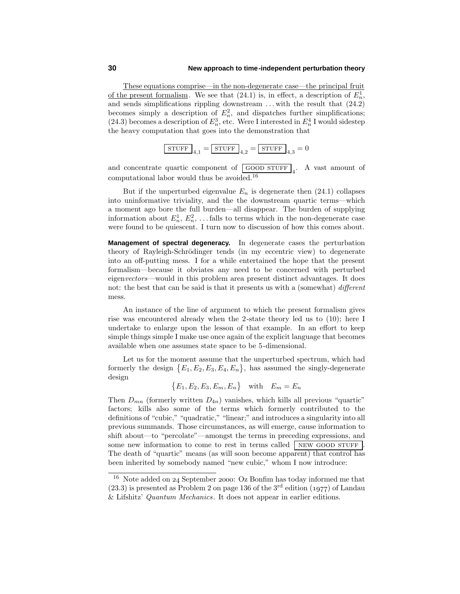These equations comprise—in the non-degenerate case—the principal fruit of the present formalism. We see that  $(24.1)$  is, in effect, a description of  $E_n^1$ , and sends simplifications rippling downstream *...* with the result that (24.2) becomes simply a description of  $E_n^2$ , and dispatches further simplifications; (24.3) becomes a description of  $E_n^3$ , etc. Were I interested in  $E_n^4$  I would sidestep the heavy computation that goes into the demonstration that

$$
\boxed{\text{STUFF}}_{4,1} = \boxed{\text{STUFF}}_{4,2} = \boxed{\text{STUFF}}_{4,3} = 0
$$

and concentrate quartic component of  $\boxed{\text{GOOD STUFF}}_4$ . A vast amount of computational labor would thus be avoided.<sup>16</sup>

But if the unperturbed eigenvalue  $E_n$  is degenerate then  $(24.1)$  collapses into uninformative triviality, and the the downstream quartic terms—which a moment ago bore the full burden—all disappear. The burden of supplying information about  $E_n^1, E_n^2, \ldots$  falls to terms which in the non-degenerate case were found to be quiescent. I turn now to discussion of how this comes about.

**Management of spectral degeneracy.** In degenerate cases the perturbation theory of Rayleigh-Schrödinger tends (in my eccentric view) to degenerate into an off-putting mess. I for a while entertained the hope that the present formalism—because it obviates any need to be concerned with perturbed eigenvectors—would in this problem area present distinct advantages. It does not: the best that can be said is that it presents us with a (somewhat) different mess.

An instance of the line of argument to which the present formalism gives rise was encountered already when the 2-state theory led us to (10); here I undertake to enlarge upon the lesson of that example. In an effort to keep simple things simple I make use once again of the explicit language that becomes available when one assumes state space to be 5-dimensional.

Let us for the moment assume that the unperturbed spectrum, which had formerly the design  ${E_1, E_2, E_3, E_4, E_n}$ , has assumed the singly-degenerate design

 ${E_1, E_2, E_3, E_m, E_n}$  with  $E_m = E_n$ 

Then  $D_{mn}$  (formerly written  $D_{4n}$ ) vanishes, which kills all previous "quartic" factors; kills also some of the terms which formerly contributed to the definitions of "cubic," "quadratic," "linear;" and introduces a singularity into all previous summands. Those circumstances, as will emerge, cause information to shift about—to "percolate"—amongst the terms in preceding expressions, and some new information to come to rest in terms called NEW GOOD STUFF The death of "quartic" means (as will soon become apparent) that control has been inherited by somebody named "new cubic," whom I now introduce:

 $16$  Note added on 24 September 2000: Oz Bonfim has today informed me that  $(23.3)$  is presented as Problem 2 on page 136 of the 3<sup>rd</sup> edition (1977) of Landau & Lifshitz' Quantum Mechanics. It does not appear in earlier editions.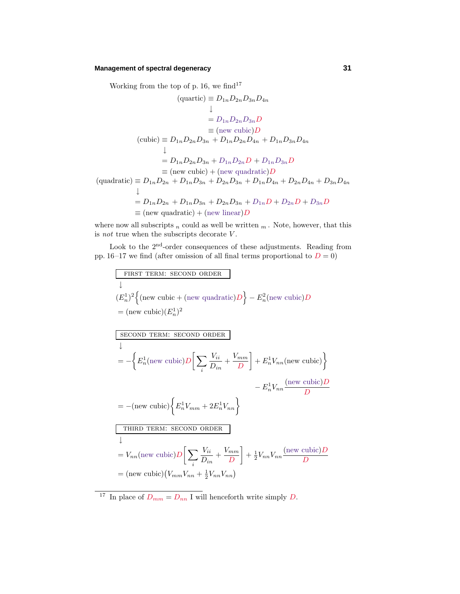### **Management of spectral degeneracy 31**

Working from the top of p. 16, we find<sup>17</sup>

$$
(\text{quartic}) \equiv D_{1n}D_{2n}D_{3n}D_{4n}
$$
\n
$$
\downarrow
$$
\n
$$
= D_{1n}D_{2n}D_{3n}D
$$
\n
$$
\equiv (\text{new cubic})D
$$
\n
$$
(\text{cubic}) \equiv D_{1n}D_{2n}D_{3n} + D_{1n}D_{2n}D_{4n} + D_{1n}D_{3n}D_{4n}
$$
\n
$$
\downarrow
$$
\n
$$
= D_{1n}D_{2n}D_{3n} + D_{1n}D_{2n}D + D_{1n}D_{3n}D
$$
\n
$$
\equiv (\text{new cubic}) + (\text{new quadratic})D
$$
\n
$$
(\text{quadratic}) \equiv D_{1n}D_{2n} + D_{1n}D_{3n} + D_{2n}D_{3n} + D_{1n}D_{4n} + D_{2n}D_{4n} + D_{3n}D_{4n}
$$
\n
$$
\downarrow
$$
\n
$$
= D_{1n}D_{2n} + D_{1n}D_{3n} + D_{2n}D_{3n} + D_{1n}D + D_{2n}D + D_{3n}D
$$
\n
$$
\equiv (\text{new quadratic}) + (\text{new linear})D
$$

where now all subscripts  $_n$  could as well be written  $_m$ . Note, however, that this is not true when the subscripts decorate *V* .

Look to the  $2^{\mathrm{nd}}\text{-order}$  consequences of these adjustments. Reading from pp. 16–17 we find (after omission of all final terms proportional to  $D = 0$ )

First TERM: SECOND ORDER

\n
$$
\downarrow
$$
\n
$$
(E_n^1)^2 \left\{ (\text{new cubic} + (\text{new quadratic})D) - E_n^2 (\text{new cubic})D \right\}
$$
\n
$$
= (\text{new cubic})(E_n^1)^2
$$
\nSECOND TERM: SECOND ORDER

\n
$$
\downarrow
$$
\n
$$
= -\left\{ E_n^1 (\text{new cubic})D \right| \sum_{i=1}^{N_i} \frac{V_{ii}}{D_i} + \frac{V_{mm}}{D_i} \right\} + E_n^1 V_{nn} (\text{new cubic})
$$

$$
= \left\{ L_n(\text{new cube})D \left[ \sum_i D_{in} \right]^T D \right\} + L_n v_{nn}(\text{new cube})
$$
\n
$$
= -(new cubic) \left\{ E_n^1 V_{mm} + 2E_n^1 V_{nn} \right\}
$$
\n
$$
\boxed{\text{THIRD TERN: SECOND ORDER}}
$$
\n
$$
= V_{nn}(\text{new cubic})D \left[ \sum_i \frac{V_{ii}}{D_{in}} + \frac{V_{mm}}{D} \right] + \frac{1}{2} V_{nn} V_{nn} \frac{(\text{new cubic})D}{D}
$$
\n
$$
= (\text{new cubic}) (V_{mm} V_{nn} + \frac{1}{2} V_{nn} V_{nn})
$$

<sup>&</sup>lt;sup>17</sup> In place of  $D_{mm} = D_{nn}$  I will henceforth write simply *D*.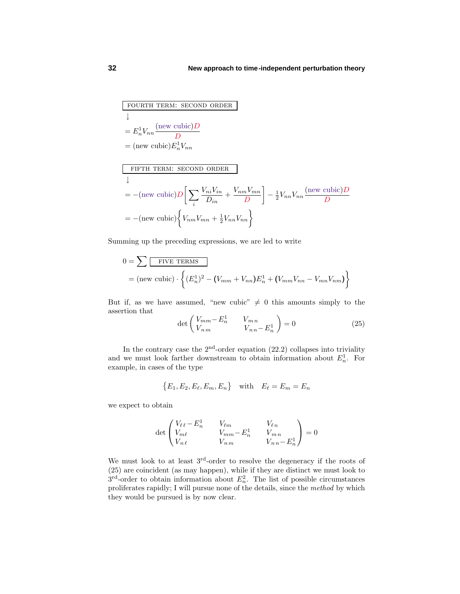fourth term: second order  $\downarrow$  $=E_n^1V_{nn}\frac{(\text{new cubic})D}{D}$ *D*  $=$  (new cubic) $E_n^1 V_{nn}$ fifth term: second order  $\overline{\mathbf{r}}$  $= -(\text{new cubic})D\left[\sum_{n} \frac{V_{ni}V_{in}}{D}\right]$  $\frac{V_{ni}V_{in}}{D_{in}} + \frac{V_{nm}V_{mn}}{D}$ *D*

$$
= -(\text{new cubic})D\left[\sum_{i}\frac{V_{ni}V_{in}}{D_{in}} + \frac{V_{nm}V_{mn}}{D}\right] - \frac{1}{2}V_{nn}V_{nn}\frac{(\text{new cubic})D}{D}
$$

$$
= -(\text{new cubic})\left\{V_{nm}V_{mn} + \frac{1}{2}V_{nn}V_{nn}\right\}
$$

Summing up the preceding expressions, we are led to write

$$
0 = \sum \boxed{\text{FIVE TERMS}}
$$
  
= (new cubic) \cdot \left\{ (E\_n^1)^2 - (V\_{mm} + V\_{nn})E\_n^1 + (V\_{mm}V\_{nn} - V\_{mn}V\_{nm}) \right\}

But if, as we have assumed, "new cubic"  $\neq$  0 this amounts simply to the assertion that

$$
\det\begin{pmatrix} V_{mm} - E_n^1 & V_{mn} \\ V_{nm} & V_{nn} - E_n^1 \end{pmatrix} = 0 \tag{25}
$$

In the contrary case the  $2<sup>nd</sup>$ -order equation (22.2) collapses into triviality and we must look farther downstream to obtain information about  $E_n^1$ . For example, in cases of the type

$$
\{E_1, E_2, E_\ell, E_m, E_n\} \quad \text{with} \quad E_\ell = E_m = E_n
$$

we expect to obtain

$$
\det\begin{pmatrix} V_{\ell\ell} - E_n^1 & V_{\ell m} & V_{\ell n} \\ V_{m\ell} & V_{mm} - E_n^1 & V_{mn} \\ V_{n\ell} & V_{n\,m} & V_{n\,n} - E_n^1 \end{pmatrix} = 0
$$

We must look to at least 3<sup>rd</sup>-order to resolve the degeneracy if the roots of (25) are coincident (as may happen), while if they are distinct we must lookto  $3<sup>rd</sup>$ -order to obtain information about  $E_n^2$ . The list of possible circumstances proliferates rapidly; I will pursue none of the details, since the method by which they would be pursued is by now clear.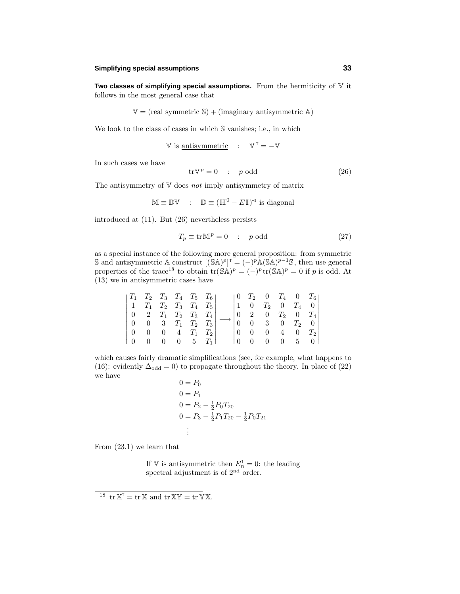#### **Simplifying special assumptions 33**

**Two classes of simplifying special assumptions.** From the hermiticity of V it follows in the most general case that

$$
\mathbb{V} = (\text{real symmetric } \mathbb{S}) + (\text{imaginary antisymmetric } \mathbb{A})
$$

We look to the class of cases in which S vanishes; i.e., in which

$$
\mathbb{V} \text{ is antisymmetric} \quad : \quad \mathbb{V}^{\top} = -\mathbb{V}
$$

In such cases we have

$$
\text{tr}\mathbb{V}^p = 0 \quad : \quad p \text{ odd} \tag{26}
$$

The antisymmetry of  $V$  does not imply antisymmetry of matrix

$$
\mathbb{M} \equiv \mathbb{D}\mathbb{V} \quad : \quad \mathbb{D} \equiv (\mathbb{H}^0 - E\mathbb{I})^{-1} \text{ is diagonal}
$$

introduced at (11). But (26) nevertheless persists

$$
T_p \equiv \text{tr}\,\mathbb{M}^p = 0 \quad : \quad p \text{ odd} \tag{27}
$$

as a special instance of the following more general proposition: from symmetric S and antisymmetric A construct  $[(SA)^p]$ <sup>T</sup> =  $(-)^p$ A(SA)<sup>*p*−1</sup>S, then use general properties of the trace<sup>18</sup> to obtain  $tr(SA)^p = (-)^p tr(SA)^p = 0$  if *p* is odd. At (13) we in antisymmetric cases have

|  | $ T_1 \tT_2 \tT_3 \tT_4 \tT_5 \tT_6 $                           |  |  |  |  | $\begin{bmatrix} 0 & T_2 & 0 & T_4 & 0 & T_6 \end{bmatrix}$ |
|--|-----------------------------------------------------------------|--|--|--|--|-------------------------------------------------------------|
|  | $\begin{vmatrix} 1 & T_1 & T_2 & T_3 & T_4 & T_5 \end{vmatrix}$ |  |  |  |  | 1 0 $T_2$ 0 $T_4$ 0                                         |
|  | $\begin{vmatrix} 0 & 2 & T_1 & T_2 & T_3 & T_4 \end{vmatrix}$   |  |  |  |  | $0 \t2 \t0 \tT_2 \t0 \tT_4$                                 |
|  | $\begin{vmatrix} 0 & 0 & 3 & T_1 & T_2 & T_3 \end{vmatrix}$     |  |  |  |  | $0 \t 0 \t 3 \t 0 \t T_2 \t 0$                              |
|  | $\begin{array}{ ccc } 0 & 0 & 0 & 4 & T_1 & T_2 \end{array}$    |  |  |  |  | $0 \t 0 \t 0 \t 4 \t 0 \t T_2$                              |
|  | $\begin{bmatrix} 0 & 0 & 0 & 0 & 5 & T_1 \end{bmatrix}$         |  |  |  |  | $0 \t 0 \t 0 \t 5 \t 0$                                     |

which causes fairly dramatic simplifications (see, for example, what happens to (16): evidently  $\Delta_{odd} = 0$ ) to propagate throughout the theory. In place of (22) we have

$$
0 = P_0
$$
  
\n
$$
0 = P_1
$$
  
\n
$$
0 = P_2 - \frac{1}{2}P_0T_{20}
$$
  
\n
$$
0 = P_3 - \frac{1}{2}P_1T_{20} - \frac{1}{2}P_0T_{21}
$$
  
\n
$$
\vdots
$$

From (23.1) we learn that

If V is antisymmetric then  $E_n^1 = 0$ : the leading spectral adjustment is of 2<sup>nd</sup> order.

<sup>&</sup>lt;sup>18</sup> tr  $X^{\mathsf{T}} = \text{tr } X$  and  $\text{tr } XY = \text{tr } YX$ .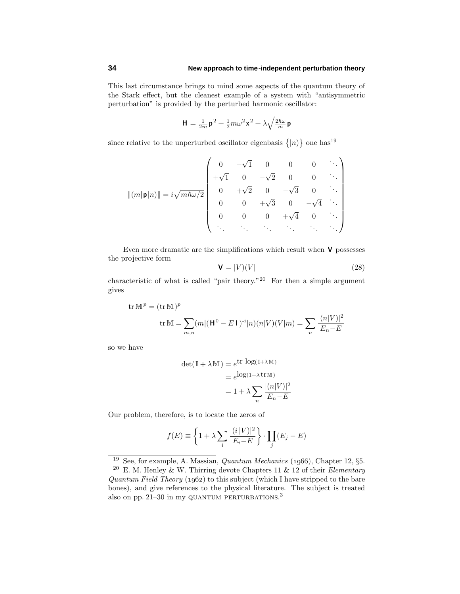This last circumstance brings to mind some aspects of the quantum theory of the Starkeffect, but the cleanest example of a system with "antisymmetric perturbation" is provided by the perturbed harmonic oscillator:

$$
\mathbf{H} = \frac{1}{2m}\mathbf{p}^2 + \frac{1}{2}m\omega^2\mathbf{x}^2 + \lambda\sqrt{\frac{2\hbar\omega}{m}}\mathbf{p}
$$

since relative to the unperturbed oscillator eigenbasis  $\{|n\rangle\}$  one has<sup>19</sup>

$$
|| (m| \mathbf{p} |n ) || = i \sqrt{m \hbar \omega /2} \begin{pmatrix} 0 & -\sqrt{1} & 0 & 0 & 0 & \cdots \\ +\sqrt{1} & 0 & -\sqrt{2} & 0 & 0 & \cdots \\ 0 & +\sqrt{2} & 0 & -\sqrt{3} & 0 & \cdots \\ 0 & 0 & +\sqrt{3} & 0 & -\sqrt{4} & \cdots \\ 0 & 0 & 0 & +\sqrt{4} & 0 & \cdots \\ \vdots & \vdots & \vdots & \ddots & \ddots & \ddots & \ddots \end{pmatrix}
$$

Even more dramatic are the simplifications which result when **V** possesses the projective form

$$
\mathbf{V} = |V)(V| \tag{28}
$$

characteristic of what is called "pair theory."<sup>20</sup> For then a simple argument gives

tr M<sup>p</sup> = (tr M)<sup>p</sup>  
tr M = 
$$
\sum_{m,n} (m|(\mathbf{H}^0 - E \mathbf{I})^{-1}|n)(n|V)(V|m) = \sum_n \frac{|(n|V)|^2}{E_n - E}
$$

so we have

$$
det(\mathbb{I} + \lambda \mathbb{M}) = e^{\text{tr} \log(\mathbb{I} + \lambda \mathbb{M})}
$$

$$
= e^{\log(1 + \lambda \text{tr} \mathbb{M})}
$$

$$
= 1 + \lambda \sum_{n} \frac{|(n|V)|^2}{E_n - E}
$$

Our problem, therefore, is to locate the zeros of

$$
f(E) \equiv \left\{ 1 + \lambda \sum_{i} \frac{|(i|V)|^2}{E_i - E} \right\} \cdot \prod_{j} (E_j - E)
$$

<sup>&</sup>lt;sup>19</sup> See, for example, A. Massian, *Quantum Mechanics* (1966), Chapter 12,  $\S5$ .

<sup>&</sup>lt;sup>20</sup> E. M. Henley & W. Thirring devote Chapters 11 & 12 of their *Elementary* Quantum Field Theory  $(1962)$  to this subject (which I have stripped to the bare bones), and give references to the physical literature. The subject is treated also on pp. 21–30 in my QUANTUM PERTURBATIONS.<sup>3</sup>